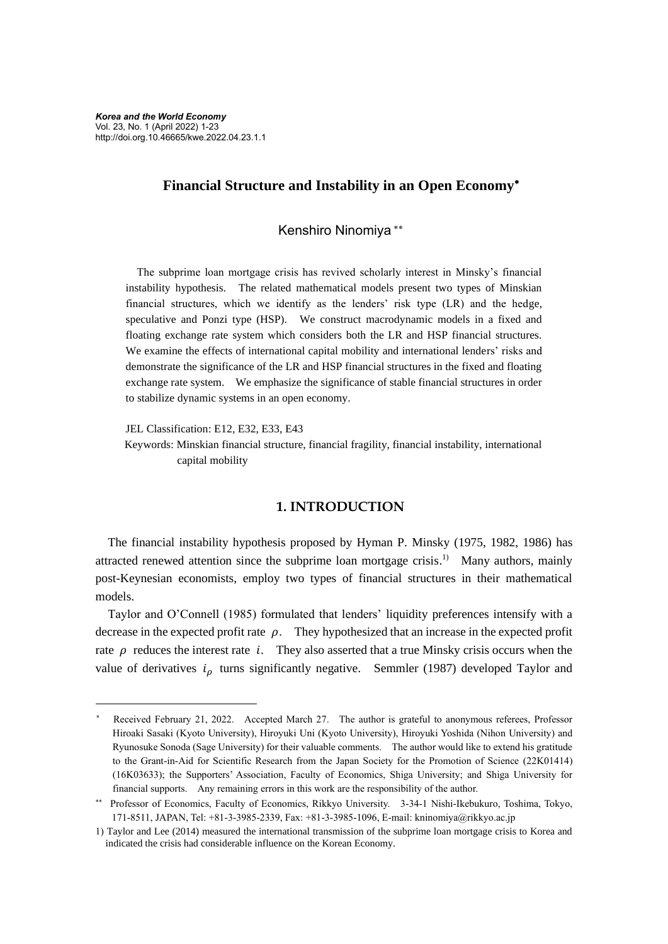# **Financial Structure and Instability in an Open Economy**

Kenshiro Ninomiya

The subprime loan mortgage crisis has revived scholarly interest in Minsky's financial instability hypothesis. The related mathematical models present two types of Minskian financial structures, which we identify as the lenders' risk type (LR) and the hedge, speculative and Ponzi type (HSP). We construct macrodynamic models in a fixed and floating exchange rate system which considers both the LR and HSP financial structures. We examine the effects of international capital mobility and international lenders' risks and demonstrate the significance of the LR and HSP financial structures in the fixed and floating exchange rate system. We emphasize the significance of stable financial structures in order to stabilize dynamic systems in an open economy.

JEL Classification: E12, E32, E33, E43

Keywords: Minskian financial structure, financial fragility, financial instability, international capital mobility

### **1. INTRODUCTION**

The financial instability hypothesis proposed by Hyman P. Minsky (1975, 1982, 1986) has attracted renewed attention since the subprime loan mortgage crisis.<sup>1)</sup> Many authors, mainly post-Keynesian economists, employ two types of financial structures in their mathematical models.

Taylor and O'Connell (1985) formulated that lenders' liquidity preferences intensify with a decrease in the expected profit rate  $\rho$ . They hypothesized that an increase in the expected profit rate  $\rho$  reduces the interest rate *i*. They also asserted that a true Minsky crisis occurs when the value of derivatives  $i<sub>o</sub>$  turns significantly negative. Semmler (1987) developed Taylor and

Received February 21, 2022. Accepted March 27. The author is grateful to anonymous referees, Professor Hiroaki Sasaki (Kyoto University), Hiroyuki Uni (Kyoto University), Hiroyuki Yoshida (Nihon University) and Ryunosuke Sonoda (Sage University) for their valuable comments. The author would like to extend his gratitude to the Grant-in-Aid for Scientific Research from the Japan Society for the Promotion of Science (22K01414) (16K03633); the Supporters' Association, Faculty of Economics, Shiga University; and Shiga University for financial supports. Any remaining errors in this work are the responsibility of the author.

Professor of Economics, Faculty of Economics, Rikkyo University. 3-34-1 Nishi-Ikebukuro, Toshima, Tokyo, 171-8511, JAPAN, Tel: +81-3-3985-2339, Fax: +81-3-3985-1096, E-mail: kninomiya@rikkyo.ac.jp

<sup>1)</sup> Taylor and Lee (2014) measured the international transmission of the subprime loan mortgage crisis to Korea and indicated the crisis had considerable influence on the Korean Economy.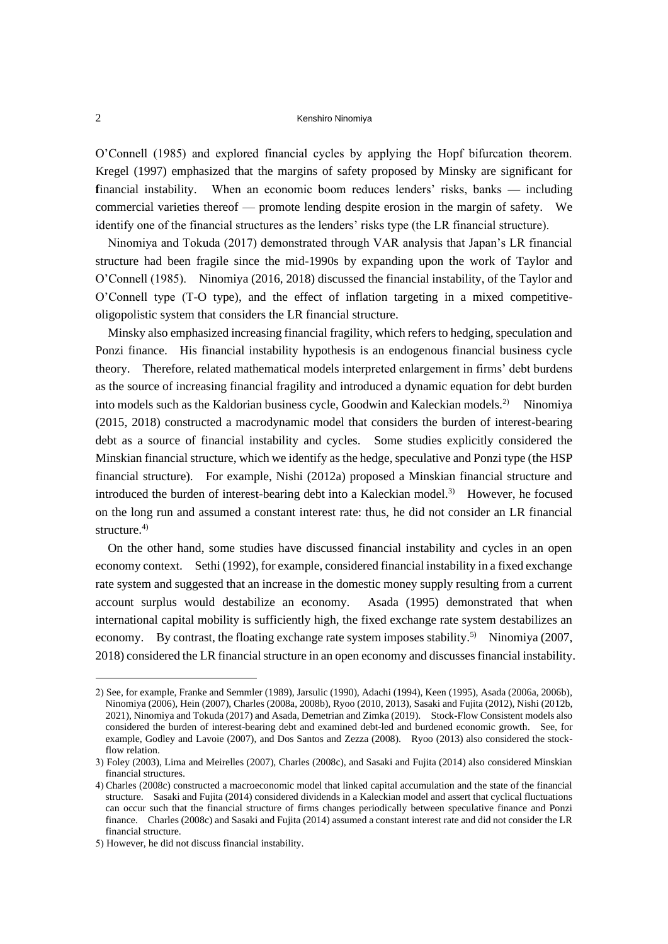O'Connell (1985) and explored financial cycles by applying the Hopf bifurcation theorem. Kregel (1997) emphasized that the margins of safety proposed by Minsky are significant for **f**inancial instability. When an economic boom reduces lenders' risks, banks — including commercial varieties thereof — promote lending despite erosion in the margin of safety. We identify one of the financial structures as the lenders' risks type (the LR financial structure).

Ninomiya and Tokuda (2017) demonstrated through VAR analysis that Japan's LR financial structure had been fragile since the mid-1990s by expanding upon the work of Taylor and O'Connell (1985). Ninomiya (2016, 2018) discussed the financial instability, of the Taylor and O'Connell type (T-O type), and the effect of inflation targeting in a mixed competitiveoligopolistic system that considers the LR financial structure.

Minsky also emphasized increasing financial fragility, which refers to hedging, speculation and Ponzi finance. His financial instability hypothesis is an endogenous financial business cycle theory. Therefore, related mathematical models interpreted enlargement in firms' debt burdens as the source of increasing financial fragility and introduced a dynamic equation for debt burden into models such as the Kaldorian business cycle, Goodwin and Kaleckian models.2) Ninomiya (2015, 2018) constructed a macrodynamic model that considers the burden of interest-bearing debt as a source of financial instability and cycles. Some studies explicitly considered the Minskian financial structure, which we identify as the hedge, speculative and Ponzi type (the HSP financial structure). For example, Nishi (2012a) proposed a Minskian financial structure and introduced the burden of interest-bearing debt into a Kaleckian model.<sup>3)</sup> However, he focused on the long run and assumed a constant interest rate: thus, he did not consider an LR financial structure.<sup>4)</sup>

On the other hand, some studies have discussed financial instability and cycles in an open economy context. Sethi (1992), for example, considered financial instability in a fixed exchange rate system and suggested that an increase in the domestic money supply resulting from a current account surplus would destabilize an economy. Asada (1995) demonstrated that when international capital mobility is sufficiently high, the fixed exchange rate system destabilizes an economy. By contrast, the floating exchange rate system imposes stability.<sup>5)</sup> Ninomiya (2007, 2018) considered the LR financial structure in an open economy and discusses financial instability.

<sup>2)</sup> See, for example, Franke and Semmler (1989), Jarsulic (1990), Adachi (1994), Keen (1995), Asada (2006a, 2006b), Ninomiya (2006), Hein (2007), Charles (2008a, 2008b), Ryoo (2010, 2013), Sasaki and Fujita (2012), Nishi (2012b, 2021), Ninomiya and Tokuda (2017) and Asada, Demetrian and Zimka (2019). Stock-Flow Consistent models also considered the burden of interest-bearing debt and examined debt-led and burdened economic growth. See, for example, Godley and Lavoie (2007), and Dos Santos and Zezza (2008). Ryoo (2013) also considered the stockflow relation.

<sup>3)</sup> Foley (2003), Lima and Meirelles (2007), Charles (2008c), and Sasaki and Fujita (2014) also considered Minskian financial structures.

<sup>4)</sup> Charles (2008c) constructed a macroeconomic model that linked capital accumulation and the state of the financial structure. Sasaki and Fujita (2014) considered dividends in a Kaleckian model and assert that cyclical fluctuations can occur such that the financial structure of firms changes periodically between speculative finance and Ponzi finance. Charles (2008c) and Sasaki and Fujita (2014) assumed a constant interest rate and did not consider the LR financial structure.

<sup>5)</sup> However, he did not discuss financial instability.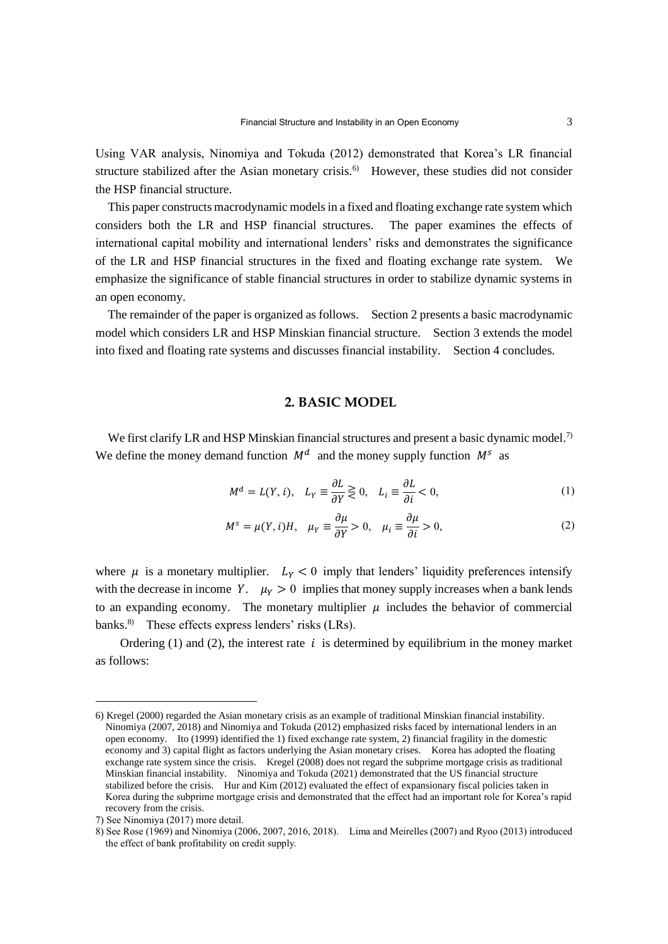Using VAR analysis, Ninomiya and Tokuda (2012) demonstrated that Korea's LR financial structure stabilized after the Asian monetary crisis.<sup>6)</sup> However, these studies did not consider the HSP financial structure.

This paper constructs macrodynamic models in a fixed and floating exchange rate system which considers both the LR and HSP financial structures. The paper examines the effects of international capital mobility and international lenders' risks and demonstrates the significance of the LR and HSP financial structures in the fixed and floating exchange rate system. We emphasize the significance of stable financial structures in order to stabilize dynamic systems in an open economy.

The remainder of the paper is organized as follows. Section 2 presents a basic macrodynamic model which considers LR and HSP Minskian financial structure. Section 3 extends the model into fixed and floating rate systems and discusses financial instability. Section 4 concludes.

# **2. BASIC MODEL**

We first clarify LR and HSP Minskian financial structures and present a basic dynamic model.<sup>7)</sup> We define the money demand function  $M<sup>d</sup>$  and the money supply function  $M<sup>s</sup>$  as

$$
M^d = L(Y, i), \quad L_Y \equiv \frac{\partial L}{\partial Y} \gtrless 0, \quad L_i \equiv \frac{\partial L}{\partial i} < 0,\tag{1}
$$

$$
M^{s} = \mu(Y, i)H, \quad \mu_{Y} \equiv \frac{\partial \mu}{\partial Y} > 0, \quad \mu_{i} \equiv \frac{\partial \mu}{\partial i} > 0,
$$
 (2)

where  $\mu$  is a monetary multiplier.  $L_y < 0$  imply that lenders' liquidity preferences intensify with the decrease in income Y.  $\mu_Y > 0$  implies that money supply increases when a bank lends to an expanding economy. The monetary multiplier  $\mu$  includes the behavior of commercial banks.<sup>8)</sup> These effects express lenders' risks (LRs).

Ordering (1) and (2), the interest rate  $i$  is determined by equilibrium in the money market as follows:

<sup>6)</sup> Kregel (2000) regarded the Asian monetary crisis as an example of traditional Minskian financial instability. Ninomiya (2007, 2018) and Ninomiya and Tokuda (2012) emphasized risks faced by international lenders in an open economy. Ito (1999) identified the 1) fixed exchange rate system, 2) financial fragility in the domestic economy and 3) capital flight as factors underlying the Asian monetary crises. Korea has adopted the floating exchange rate system since the crisis. Kregel (2008) does not regard the subprime mortgage crisis as traditional Minskian financial instability. Ninomiya and Tokuda (2021) demonstrated that the US financial structure stabilized before the crisis. Hur and Kim (2012) evaluated the effect of expansionary fiscal policies taken in Korea during the subprime mortgage crisis and demonstrated that the effect had an important role for Korea's rapid recovery from the crisis.

<sup>7)</sup> See Ninomiya (2017) more detail.

<sup>8)</sup> See Rose (1969) and Ninomiya (2006, 2007, 2016, 2018). Lima and Meirelles (2007) and Ryoo (2013) introduced the effect of bank profitability on credit supply.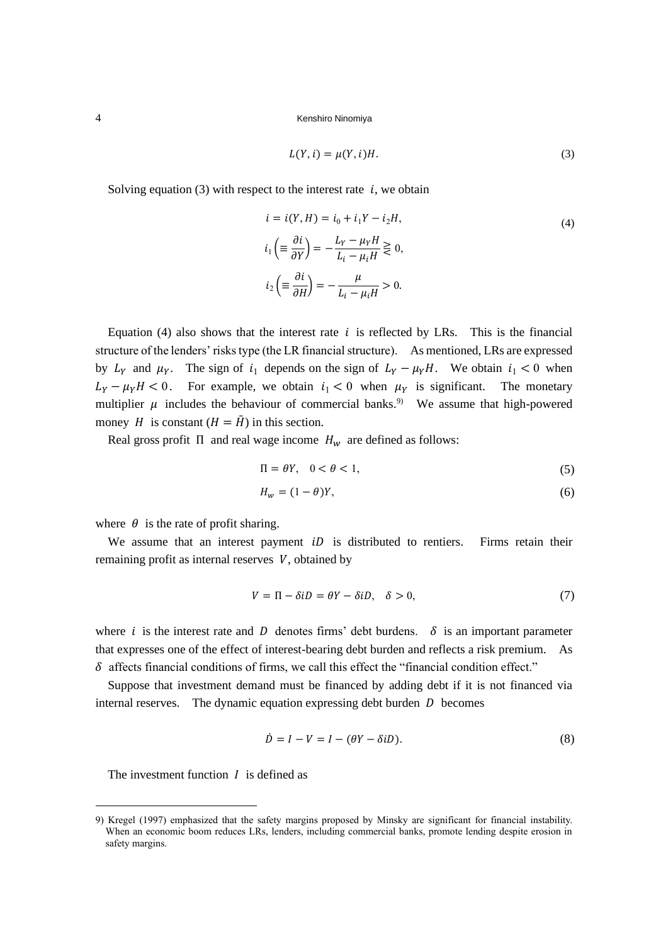$$
L(Y, i) = \mu(Y, i)H.
$$
\n<sup>(3)</sup>

Solving equation (3) with respect to the interest rate  $i$ , we obtain

$$
i = i(Y, H) = i_0 + i_1 Y - i_2 H,
$$
  
\n
$$
i_1 \left( \equiv \frac{\partial i}{\partial Y} \right) = -\frac{L_Y - \mu_Y H}{L_i - \mu_i H} \gtrless 0,
$$
  
\n
$$
i_2 \left( \equiv \frac{\partial i}{\partial H} \right) = -\frac{\mu}{L_i - \mu_i H} > 0.
$$
\n(4)

Equation (4) also shows that the interest rate  $i$  is reflected by LRs. This is the financial structure of the lenders' risks type (the LR financial structure). As mentioned, LRs are expressed by  $L_Y$  and  $\mu_Y$ . The sign of  $i_1$  depends on the sign of  $L_Y - \mu_Y H$ . We obtain  $i_1 < 0$  when  $L_Y - \mu_Y H < 0$ . For example, we obtain  $i_1 < 0$  when  $\mu_Y$  is significant. The monetary multiplier  $\mu$  includes the behaviour of commercial banks.<sup>9)</sup> We assume that high-powered money *H* is constant  $(H = \overline{H})$  in this section.

Real gross profit  $\Pi$  and real wage income  $H_w$  are defined as follows:

$$
\Pi = \theta Y, \quad 0 < \theta < 1,\tag{5}
$$

$$
H_w = (1 - \theta)Y,\tag{6}
$$

where  $\theta$  is the rate of profit sharing.

We assume that an interest payment  $iD$  is distributed to rentiers. Firms retain their remaining profit as internal reserves  $V$ , obtained by

$$
V = \Pi - \delta iD = \theta Y - \delta iD, \quad \delta > 0,
$$
\n<sup>(7)</sup>

where *i* is the interest rate and *D* denotes firms' debt burdens.  $\delta$  is an important parameter that expresses one of the effect of interest-bearing debt burden and reflects a risk premium. As  $\delta$  affects financial conditions of firms, we call this effect the "financial condition effect."

Suppose that investment demand must be financed by adding debt if it is not financed via internal reserves. The dynamic equation expressing debt burden  $D$  becomes

$$
\dot{D} = I - V = I - (\theta Y - \delta iD). \tag{8}
$$

The investment function  $I$  is defined as

<sup>9)</sup> Kregel (1997) emphasized that the safety margins proposed by Minsky are significant for financial instability. When an economic boom reduces LRs, lenders, including commercial banks, promote lending despite erosion in safety margins.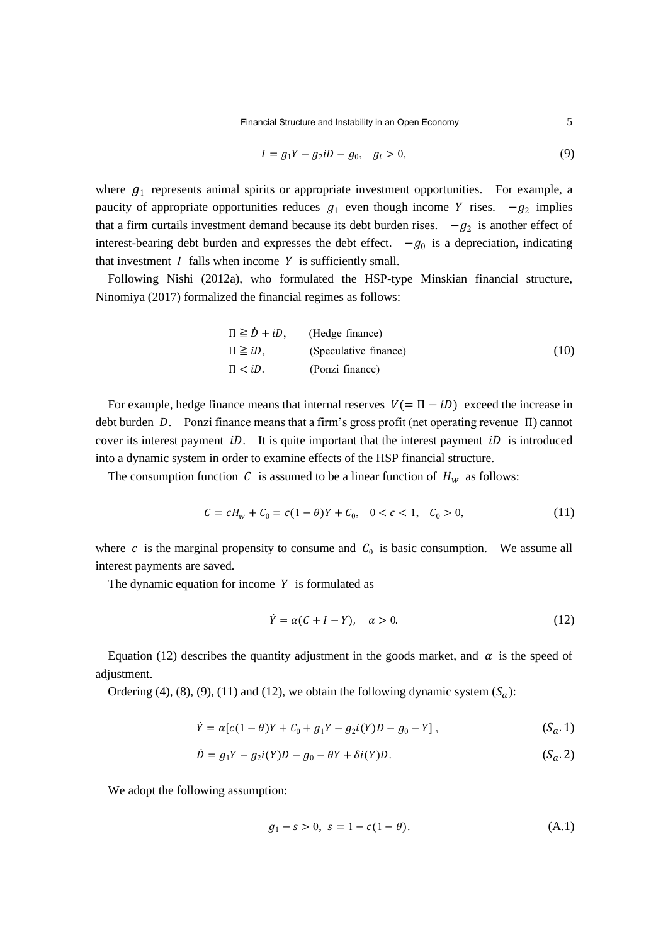$$
I = g_1 Y - g_2 i D - g_0, \quad g_i > 0,
$$
\n(9)

where  $g_1$  represents animal spirits or appropriate investment opportunities. For example, a paucity of appropriate opportunities reduces  $g_1$  even though income Y rises.  $-g_2$  implies that a firm curtails investment demand because its debt burden rises.  $-g_2$  is another effect of interest-bearing debt burden and expresses the debt effect.  $-g_0$  is a depreciation, indicating that investment  $I$  falls when income  $Y$  is sufficiently small.

Following Nishi (2012a), who formulated the HSP-type Minskian financial structure, Ninomiya (2017) formalized the financial regimes as follows:

$$
\Pi \geq \dot{D} + iD, \qquad \text{(Hedge finance)}
$$
\n
$$
\Pi \geq iD, \qquad \text{(Speculative finance)}
$$
\n
$$
\Pi < iD. \qquad \text{(Ponzi finance)}
$$
\n(10)

For example, hedge finance means that internal reserves  $V(= \Pi - iD)$  exceed the increase in debt burden  $D$ . Ponzi finance means that a firm's gross profit (net operating revenue  $\Pi$ ) cannot cover its interest payment  $iD$ . It is quite important that the interest payment  $iD$  is introduced into a dynamic system in order to examine effects of the HSP financial structure.

The consumption function C is assumed to be a linear function of  $H_w$  as follows:

$$
C = cHw + C0 = c(1 - \theta)Y + C0, \quad 0 < c < 1, \quad C0 > 0,
$$
\n(11)

where c is the marginal propensity to consume and  $C_0$  is basic consumption. We assume all interest payments are saved.

The dynamic equation for income  $Y$  is formulated as

$$
\dot{Y} = \alpha(C + I - Y), \quad \alpha > 0. \tag{12}
$$

Equation (12) describes the quantity adjustment in the goods market, and  $\alpha$  is the speed of adjustment.

Ordering (4), (8), (9), (11) and (12), we obtain the following dynamic system  $(S_a)$ :

$$
\dot{Y} = \alpha [c(1 - \theta)Y + C_0 + g_1 Y - g_2 i(Y)D - g_0 - Y],
$$
\n(S<sub>a</sub>.1)

$$
\dot{D} = g_1 Y - g_2 i(Y) D - g_0 - \theta Y + \delta i(Y) D. \tag{S_a.2}
$$

We adopt the following assumption:

$$
g_1 - s > 0, \ s = 1 - c(1 - \theta). \tag{A.1}
$$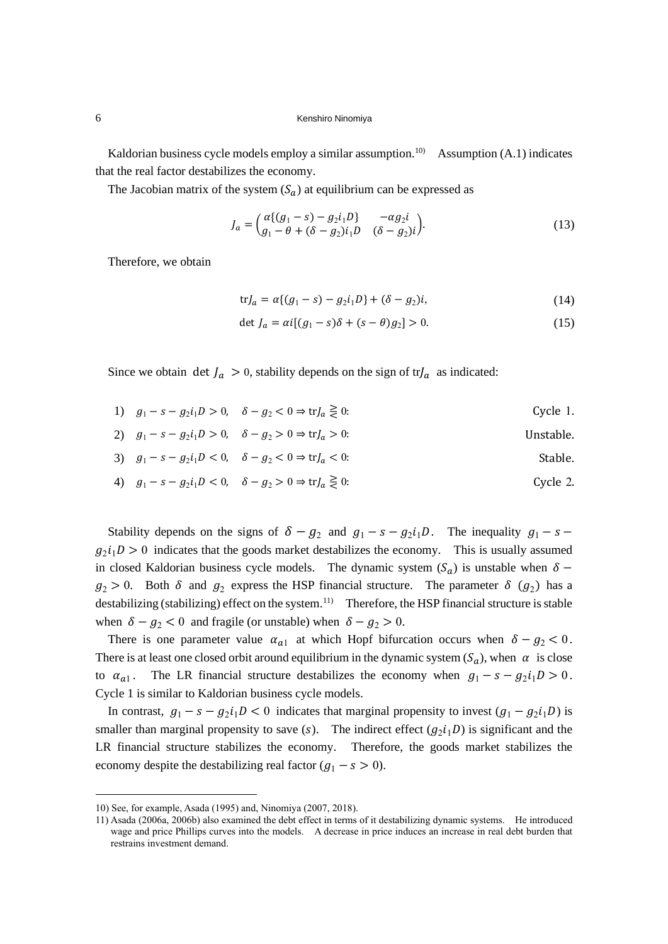Kaldorian business cycle models employ a similar assumption.<sup>10)</sup> Assumption (A.1) indicates that the real factor destabilizes the economy.

The Jacobian matrix of the system  $(S_a)$  at equilibrium can be expressed as

$$
J_a = \begin{pmatrix} \alpha \{ (g_1 - s) - g_2 i_1 D \} & -\alpha g_2 i \\ g_1 - \theta + (\delta - g_2) i_1 D & (\delta - g_2) i \end{pmatrix} . \tag{13}
$$

Therefore, we obtain

$$
trJ_a = \alpha \{ (g_1 - s) - g_2 i_1 D \} + (\delta - g_2)i,
$$
\n(14)

$$
\det J_a = \alpha i [(g_1 - s)\delta + (s - \theta)g_2] > 0. \tag{15}
$$

Since we obtain det  $J_a > 0$ , stability depends on the sign of tr $J_a$  as indicated:

| 1) $g_1 - s - g_2 i_1 D > 0$ , $\delta - g_2 < 0 \Rightarrow \text{tr} J_a \ge 0$ : | Cycle 1. |
|-------------------------------------------------------------------------------------|----------|
|-------------------------------------------------------------------------------------|----------|

2)  $g_1 - s - g_2 i_1 D > 0$ ,  $\delta - g_2 > 0 \Rightarrow \text{tr} J_a > 0$ : Unstable.

3) 
$$
g_1 - s - g_2 i_1 D < 0
$$
,  $\delta - g_2 < 0 \Rightarrow \text{tr} J_a < 0$ :  
Stable.

4)  $g_1 - s - g_2 i_1 D < 0$ ,  $\delta - g_2 > 0 \Rightarrow \text{tr} J_a \gtrless 0$ : Cycle 2.

Stability depends on the signs of  $\delta - g_2$  and  $g_1 - s - g_2 i_1 D$ . The inequality  $g_1 - s - g_2 i_2 D$ .  $g_2 i_1 D > 0$  indicates that the goods market destabilizes the economy. This is usually assumed in closed Kaldorian business cycle models. The dynamic system  $(S_a)$  is unstable when  $\delta$  –  $g_2 > 0$ . Both  $\delta$  and  $g_2$  express the HSP financial structure. The parameter  $\delta$  ( $g_2$ ) has a destabilizing (stabilizing) effect on the system.<sup>11)</sup> Therefore, the HSP financial structure is stable when  $\delta - g_2 < 0$  and fragile (or unstable) when  $\delta - g_2 > 0$ .

There is one parameter value  $\alpha_{a1}$  at which Hopf bifurcation occurs when  $\delta - g_2 < 0$ . There is at least one closed orbit around equilibrium in the dynamic system  $(S_a)$ , when  $\alpha$  is close to  $\alpha_{a1}$ . The LR financial structure destabilizes the economy when  $g_1 - s - g_2 i_1 D > 0$ . Cycle 1 is similar to Kaldorian business cycle models.

In contrast,  $g_1 - s - g_2 i_1 D < 0$  indicates that marginal propensity to invest  $(g_1 - g_2 i_1 D)$  is smaller than marginal propensity to save (s). The indirect effect  $(g_2 i_1 D)$  is significant and the LR financial structure stabilizes the economy. Therefore, the goods market stabilizes the economy despite the destabilizing real factor  $(g_1 - s > 0)$ .

<sup>10)</sup> See, for example, Asada (1995) and, Ninomiya (2007, 2018).

<sup>11)</sup> Asada (2006a, 2006b) also examined the debt effect in terms of it destabilizing dynamic systems. He introduced wage and price Phillips curves into the models. A decrease in price induces an increase in real debt burden that restrains investment demand.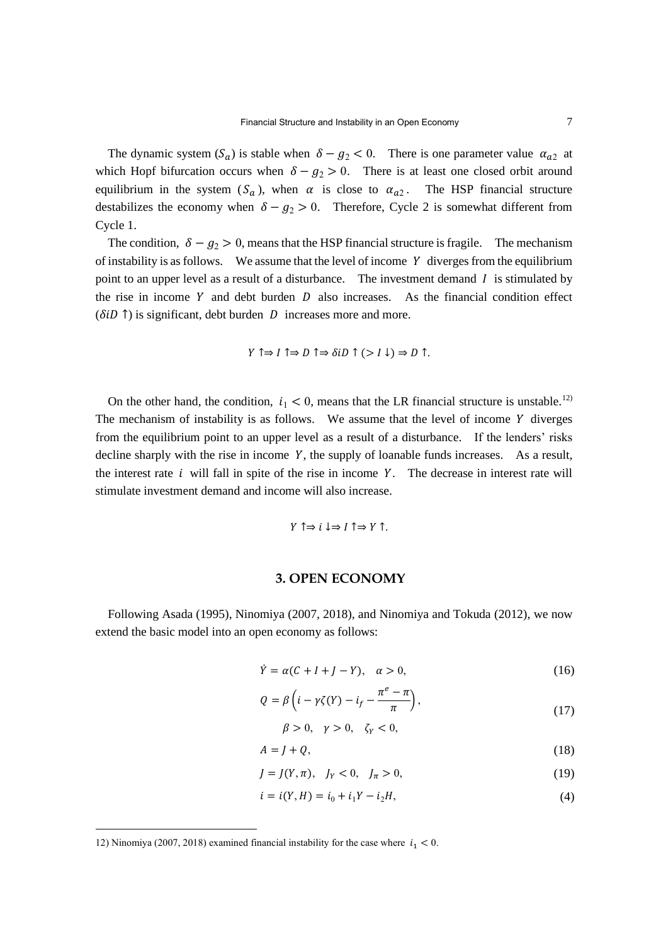The dynamic system  $(S_a)$  is stable when  $\delta - g_2 < 0$ . There is one parameter value  $\alpha_{a2}$  at which Hopf bifurcation occurs when  $\delta - g_2 > 0$ . There is at least one closed orbit around equilibrium in the system  $(S_a)$ , when  $\alpha$  is close to  $\alpha_{a2}$ . The HSP financial structure destabilizes the economy when  $\delta - g_2 > 0$ . Therefore, Cycle 2 is somewhat different from Cycle 1.

The condition,  $\delta - g_2 > 0$ , means that the HSP financial structure is fragile. The mechanism of instability is as follows. We assume that the level of income  $Y$  diverges from the equilibrium point to an upper level as a result of a disturbance. The investment demand  $I$  is stimulated by the rise in income Y and debt burden  $D$  also increases. As the financial condition effect  $(\delta iD \uparrow)$  is significant, debt burden D increases more and more.

$$
Y \uparrow \Rightarrow I \uparrow \Rightarrow D \uparrow \Rightarrow \delta i D \uparrow (>I \downarrow) \Rightarrow D \uparrow.
$$

On the other hand, the condition,  $i_1 < 0$ , means that the LR financial structure is unstable.<sup>12)</sup> The mechanism of instability is as follows. We assume that the level of income  $Y$  diverges from the equilibrium point to an upper level as a result of a disturbance. If the lenders' risks decline sharply with the rise in income  $Y$ , the supply of loanable funds increases. As a result, the interest rate  $i$  will fall in spite of the rise in income  $Y$ . The decrease in interest rate will stimulate investment demand and income will also increase.

$$
Y \uparrow \Rightarrow i \downarrow \Rightarrow I \uparrow \Rightarrow Y \uparrow.
$$

### **3. OPEN ECONOMY**

Following Asada (1995), Ninomiya (2007, 2018), and Ninomiya and Tokuda (2012), we now extend the basic model into an open economy as follows:

$$
\dot{Y} = \alpha(C + I + J - Y), \quad \alpha > 0,
$$
\n(16)

$$
Q = \beta \left( i - \gamma \zeta(Y) - i_f - \frac{\pi^e - \pi}{\pi} \right),\tag{17}
$$

$$
\beta > 0, \quad \gamma > 0, \quad \zeta_Y < 0,
$$

$$
A = J + Q,\tag{18}
$$

$$
J = J(Y, \pi), \quad J_Y < 0, \quad J_\pi > 0,\tag{19}
$$

$$
i = i(Y, H) = i_0 + i_1 Y - i_2 H,
$$
\n(4)

<sup>12)</sup> Ninomiya (2007, 2018) examined financial instability for the case where  $i_1 < 0$ .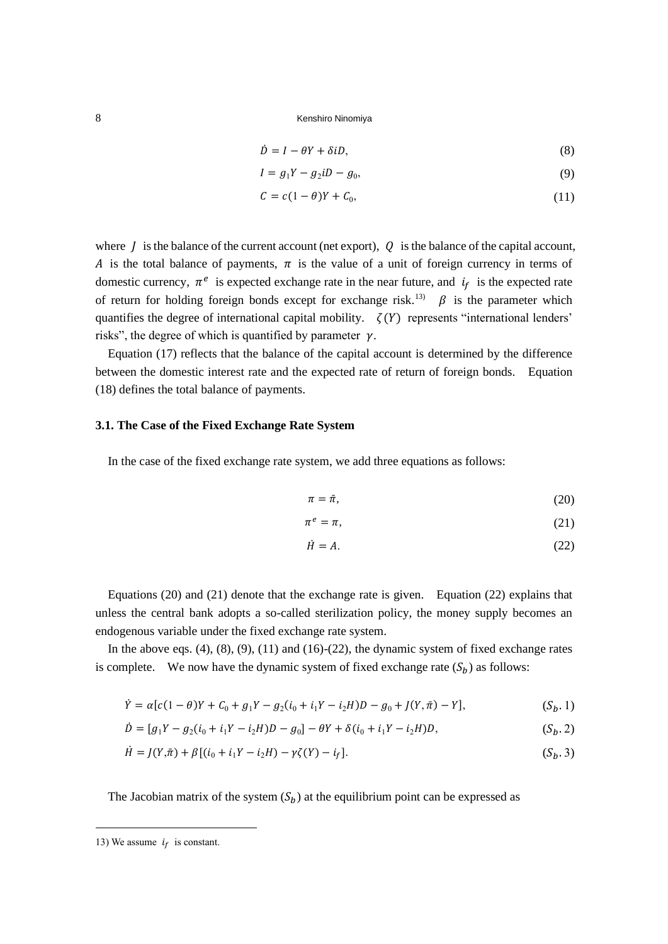$$
\dot{D} = I - \theta Y + \delta i D,\tag{8}
$$

$$
I = g_1 Y - g_2 i D - g_0,\tag{9}
$$

$$
C = c(1 - \theta)Y + C_0, \tag{11}
$$

where  $\hat{I}$  is the balance of the current account (net export),  $\hat{Q}$  is the balance of the capital account, A is the total balance of payments,  $\pi$  is the value of a unit of foreign currency in terms of domestic currency,  $\pi^e$  is expected exchange rate in the near future, and  $i_f$  is the expected rate of return for holding foreign bonds except for exchange risk.<sup>13)</sup>  $\beta$  is the parameter which quantifies the degree of international capital mobility.  $\zeta(Y)$  represents "international lenders" risks", the degree of which is quantified by parameter  $\gamma$ .

Equation (17) reflects that the balance of the capital account is determined by the difference between the domestic interest rate and the expected rate of return of foreign bonds. Equation (18) defines the total balance of payments.

### **3.1. The Case of the Fixed Exchange Rate System**

In the case of the fixed exchange rate system, we add three equations as follows:

$$
\pi = \bar{\pi},\tag{20}
$$

$$
\pi^e = \pi,\tag{21}
$$

$$
\dot{H} = A. \tag{22}
$$

Equations (20) and (21) denote that the exchange rate is given. Equation (22) explains that unless the central bank adopts a so-called sterilization policy, the money supply becomes an endogenous variable under the fixed exchange rate system.

In the above eqs.  $(4)$ ,  $(8)$ ,  $(9)$ ,  $(11)$  and  $(16)-(22)$ , the dynamic system of fixed exchange rates is complete. We now have the dynamic system of fixed exchange rate  $(S_b)$  as follows:

$$
\dot{Y} = \alpha[c(1-\theta)Y + C_0 + g_1Y - g_2(i_0 + i_1Y - i_2H)D - g_0 + J(Y,\bar{\pi}) - Y],
$$
\n(S<sub>b</sub>, 1)

$$
\dot{D} = [g_1 Y - g_2 (i_0 + i_1 Y - i_2 H) D - g_0] - \theta Y + \delta (i_0 + i_1 Y - i_2 H) D, \qquad (S_b. 2)
$$

$$
\dot{H} = J(Y,\bar{\pi}) + \beta [(i_0 + i_1 Y - i_2 H) - \gamma \zeta(Y) - i_f].
$$
\n
$$
(S_b, 3)
$$

The Jacobian matrix of the system  $(S_h)$  at the equilibrium point can be expressed as

<sup>13)</sup> We assume  $i_f$  is constant.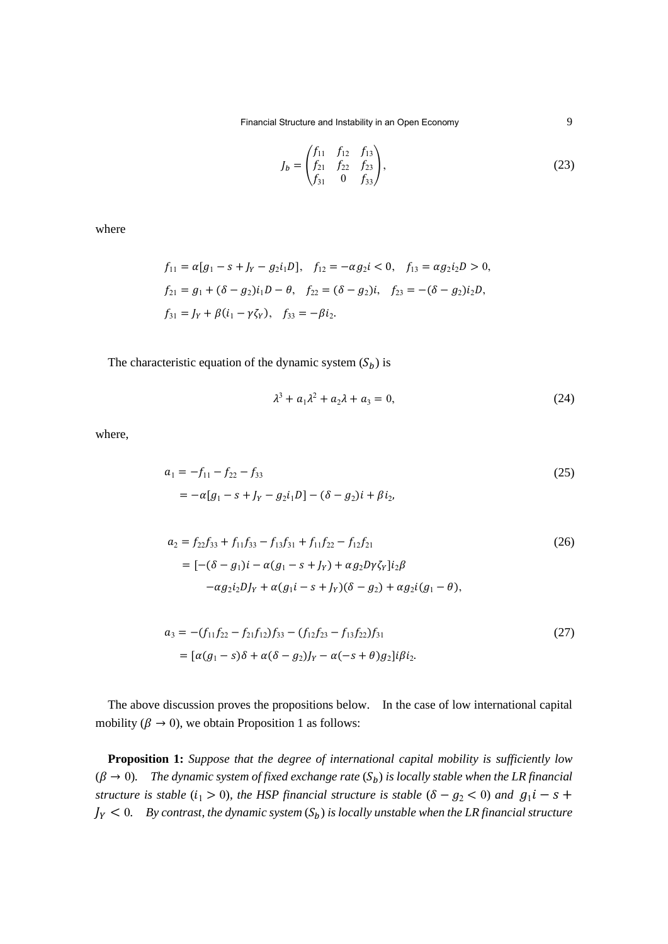Financial Structure and Instability in an Open Economy 9

$$
J_b = \begin{pmatrix} f_{11} & f_{12} & f_{13} \\ f_{21} & f_{22} & f_{23} \\ f_{31} & 0 & f_{33} \end{pmatrix},
$$
(23)

where

$$
f_{11} = \alpha [g_1 - s + J_Y - g_2 i_1 D], \quad f_{12} = -\alpha g_2 i < 0, \quad f_{13} = \alpha g_2 i_2 D > 0,
$$
\n
$$
f_{21} = g_1 + (\delta - g_2) i_1 D - \theta, \quad f_{22} = (\delta - g_2) i, \quad f_{23} = -(\delta - g_2) i_2 D,
$$
\n
$$
f_{31} = J_Y + \beta (i_1 - \gamma \zeta_Y), \quad f_{33} = -\beta i_2.
$$

The characteristic equation of the dynamic system  $(S_b)$  is

$$
\lambda^3 + a_1 \lambda^2 + a_2 \lambda + a_3 = 0,\tag{24}
$$

where,

$$
a_1 = -f_{11} - f_{22} - f_{33}
$$
  
=  $-\alpha[g_1 - s + J_Y - g_2i_1D] - (\delta - g_2)i + \beta i_2,$  (25)

$$
a_2 = f_{22}f_{33} + f_{11}f_{33} - f_{13}f_{31} + f_{11}f_{22} - f_{12}f_{21}
$$
  
=  $[-(\delta - g_1)i - \alpha(g_1 - s + J_Y) + \alpha g_2 D\gamma \zeta_Y]i_2 \beta$   
 $- \alpha g_2 i_2 D J_Y + \alpha(g_1 i - s + J_Y)(\delta - g_2) + \alpha g_2 i(g_1 - \theta),$  (26)

$$
a_3 = -(f_{11}f_{22} - f_{21}f_{12})f_{33} - (f_{12}f_{23} - f_{13}f_{22})f_{31}
$$
  
= 
$$
[\alpha(g_1 - s)\delta + \alpha(\delta - g_2)]_Y - \alpha(-s + \theta)g_2]\mathrm{i}\beta i_2.
$$
 (27)

The above discussion proves the propositions below. In the case of low international capital mobility ( $\beta \rightarrow 0$ ), we obtain Proposition 1 as follows:

**Proposition 1:** *Suppose that the degree of international capital mobility is sufficiently low*  $(\beta \to 0)$ . The dynamic system of fixed exchange rate  $(S_b)$  is locally stable when the LR financial *structure is stable*  $(i_1 > 0)$ *, the HSP financial structure is stable*  $(\delta - g_2 < 0)$  *and*  $g_1 i - s +$  $J_Y < 0$ . By contrast, the dynamic system  $(S_b)$  is locally unstable when the LR financial structure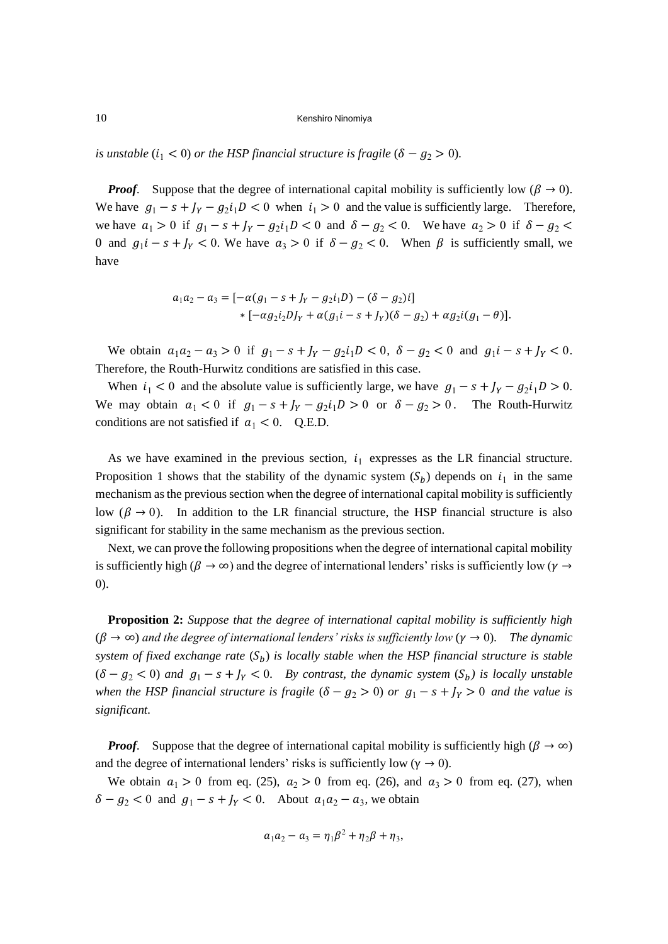*is unstable* ( $i_1 < 0$ ) *or the HSP financial structure is fragile* ( $\delta - g_2 > 0$ ).

*Proof.* Suppose that the degree of international capital mobility is sufficiently low ( $\beta \rightarrow 0$ ). We have  $g_1 - s + J_Y - g_2 i_1 D < 0$  when  $i_1 > 0$  and the value is sufficiently large. Therefore, we have  $a_1 > 0$  if  $g_1 - s + J_Y - g_2 i_1 D < 0$  and  $\delta - g_2 < 0$ . We have  $a_2 > 0$  if  $\delta - g_2 <$ 0 and  $g_1 i - s + J_Y < 0$ . We have  $a_3 > 0$  if  $\delta - g_2 < 0$ . When  $\beta$  is sufficiently small, we have

$$
a_1a_2 - a_3 = [-\alpha(g_1 - s + J_Y - g_2i_1D) - (\delta - g_2)i]
$$
  
 \* [-\alpha g\_2i\_2DJ\_Y + \alpha(g\_1i - s + J\_Y)(\delta - g\_2) + \alpha g\_2i(g\_1 - \theta)].

We obtain  $a_1a_2 - a_3 > 0$  if  $g_1 - s + J_y - g_2i_1D < 0$ ,  $\delta - g_2 < 0$  and  $g_1i - s + J_y < 0$ . Therefore, the Routh-Hurwitz conditions are satisfied in this case.

When  $i_1 < 0$  and the absolute value is sufficiently large, we have  $g_1 - s + J_Y - g_2 i_1 D > 0$ . We may obtain  $a_1 < 0$  if  $g_1 - s + J_Y - g_2 i_1 D > 0$  or  $\delta - g_2 > 0$ . The Routh-Hurwitz conditions are not satisfied if  $a_1 < 0$ . Q.E.D.

As we have examined in the previous section,  $i_1$  expresses as the LR financial structure. Proposition 1 shows that the stability of the dynamic system  $(S_b)$  depends on  $i_1$  in the same mechanism as the previous section when the degree of international capital mobility is sufficiently low ( $\beta \rightarrow 0$ ). In addition to the LR financial structure, the HSP financial structure is also significant for stability in the same mechanism as the previous section.

Next, we can prove the following propositions when the degree of international capital mobility is sufficiently high ( $\beta \to \infty$ ) and the degree of international lenders' risks is sufficiently low ( $\gamma \to$ 0).

**Proposition 2:** *Suppose that the degree of international capital mobility is sufficiently high*  $(\beta \to \infty)$  and the degree of international lenders' risks is sufficiently low  $(\gamma \to 0)$ . The dynamic *system of fixed exchange rate*  $(S_h)$  *is locally stable when the HSP financial structure is stable*  $( \delta - g_2 < 0 )$  and  $g_1 - s + J_Y < 0$ . By contrast, the dynamic system  $(S_b)$  is locally unstable *when the HSP financial structure is fragile*  $(\delta - g_2 > 0)$  *or*  $g_1 - s + J_Y > 0$  *and the value is significant.*

*Proof.* Suppose that the degree of international capital mobility is sufficiently high ( $\beta \to \infty$ ) and the degree of international lenders' risks is sufficiently low ( $\gamma \rightarrow 0$ ).

We obtain  $a_1 > 0$  from eq. (25),  $a_2 > 0$  from eq. (26), and  $a_3 > 0$  from eq. (27), when  $\delta - g_2 < 0$  and  $g_1 - s + J_Y < 0$ . About  $a_1 a_2 - a_3$ , we obtain

$$
a_1a_2-a_3=\eta_1\beta^2+\eta_2\beta+\eta_3,
$$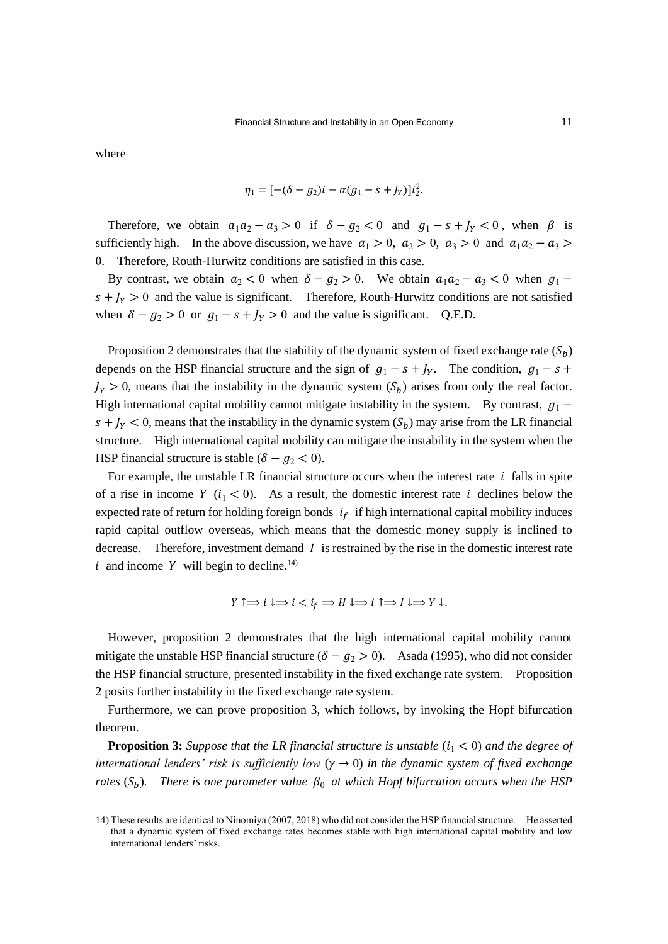where

$$
\eta_1 = [-(\delta - g_2)i - \alpha(g_1 - s + J_Y)]i_2^2.
$$

Therefore, we obtain  $a_1 a_2 - a_3 > 0$  if  $\delta - g_2 < 0$  and  $g_1 - s + J_Y < 0$ , when  $\beta$  is sufficiently high. In the above discussion, we have  $a_1 > 0$ ,  $a_2 > 0$ ,  $a_3 > 0$  and  $a_1 a_2 - a_3 >$ 0. Therefore, Routh-Hurwitz conditions are satisfied in this case.

By contrast, we obtain  $a_2 < 0$  when  $\delta - g_2 > 0$ . We obtain  $a_1 a_2 - a_3 < 0$  when  $g_1$  $s + J<sub>Y</sub> > 0$  and the value is significant. Therefore, Routh-Hurwitz conditions are not satisfied when  $\delta - g_2 > 0$  or  $g_1 - s + J_y > 0$  and the value is significant. Q.E.D.

Proposition 2 demonstrates that the stability of the dynamic system of fixed exchange rate  $(S_h)$ depends on the HSP financial structure and the sign of  $g_1 - s + J_y$ . The condition,  $g_1 - s +$  $J_Y > 0$ , means that the instability in the dynamic system  $(S_b)$  arises from only the real factor. High international capital mobility cannot mitigate instability in the system. By contrast,  $g_1$  –  $s + I_y < 0$ , means that the instability in the dynamic system  $(S_b)$  may arise from the LR financial structure. High international capital mobility can mitigate the instability in the system when the HSP financial structure is stable ( $\delta - g_2 < 0$ ).

For example, the unstable LR financial structure occurs when the interest rate  $i$  falls in spite of a rise in income Y  $(i_1 < 0)$ . As a result, the domestic interest rate i declines below the expected rate of return for holding foreign bonds  $i_f$  if high international capital mobility induces rapid capital outflow overseas, which means that the domestic money supply is inclined to decrease. Therefore, investment demand  $I$  is restrained by the rise in the domestic interest rate i and income Y will begin to decline.<sup>14)</sup>

$$
Y \uparrow \Rightarrow i \downarrow \Rightarrow i < i_f \Rightarrow H \downarrow \Rightarrow i \uparrow \Rightarrow I \downarrow \Rightarrow Y \downarrow.
$$

However, proposition 2 demonstrates that the high international capital mobility cannot mitigate the unstable HSP financial structure ( $\delta - g_2 > 0$ ). Asada (1995), who did not consider the HSP financial structure, presented instability in the fixed exchange rate system. Proposition 2 posits further instability in the fixed exchange rate system.

Furthermore, we can prove proposition 3, which follows, by invoking the Hopf bifurcation theorem.

**Proposition 3:** *Suppose that the LR financial structure is unstable*  $(i_1 < 0)$  *and the degree of international lenders' risk is sufficiently low*  $(\gamma \rightarrow 0)$  *in the dynamic system of fixed exchange rates*  $(S_h)$ . *There is one parameter value*  $\beta_0$  *at which Hopf bifurcation occurs when the HSP* 

<sup>14)</sup> These results are identical to Ninomiya (2007, 2018) who did not consider the HSP financial structure. He asserted that a dynamic system of fixed exchange rates becomes stable with high international capital mobility and low international lenders' risks.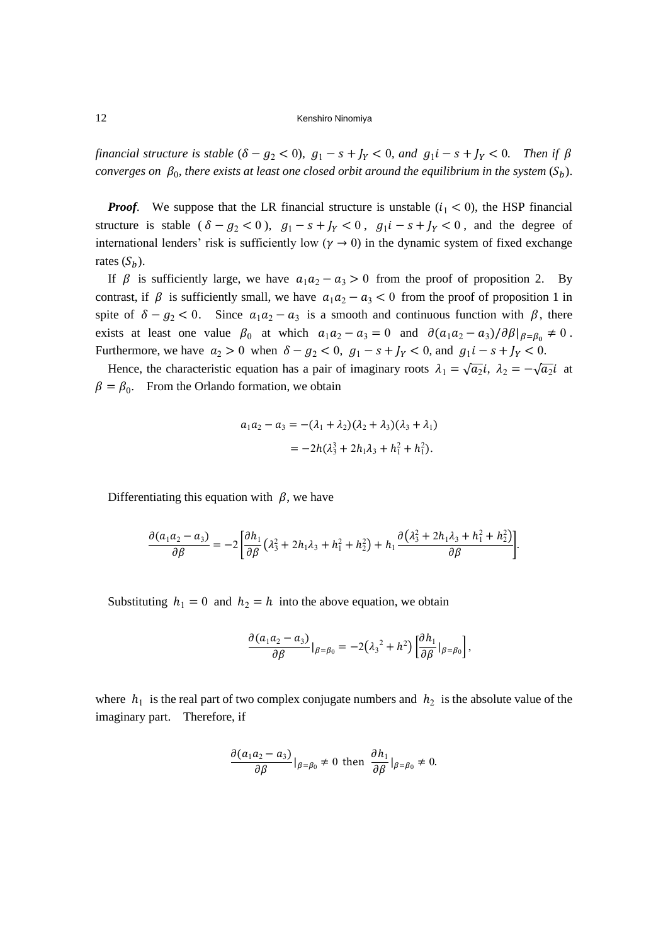*financial structure is stable*  $(\delta - g_2 < 0)$ ,  $g_1 - s + J_Y < 0$ , and  $g_1 i - s + J_Y < 0$ . Then if  $\beta$ *converges on*  $\beta_0$ , there exists at least one closed orbit around the equilibrium in the system  $(S_b)$ .

*Proof.* We suppose that the LR financial structure is unstable  $(i_1 < 0)$ , the HSP financial structure is stable  $(\delta - g_2 < 0)$ ,  $g_1 - s + J_Y < 0$ ,  $g_1 i - s + J_Y < 0$ , and the degree of international lenders' risk is sufficiently low ( $\gamma \rightarrow 0$ ) in the dynamic system of fixed exchange rates  $(S_h)$ .

If  $\beta$  is sufficiently large, we have  $a_1 a_2 - a_3 > 0$  from the proof of proposition 2. By contrast, if  $\beta$  is sufficiently small, we have  $a_1 a_2 - a_3 < 0$  from the proof of proposition 1 in spite of  $\delta - g_2 < 0$ . Since  $a_1 a_2 - a_3$  is a smooth and continuous function with  $\beta$ , there exists at least one value  $\beta_0$  at which  $a_1 a_2 - a_3 = 0$  and  $\partial (a_1 a_2 - a_3)/\partial \beta|_{\beta = \beta_0} \neq 0$ . Furthermore, we have  $a_2 > 0$  when  $\delta - g_2 < 0$ ,  $g_1 - s + J_Y < 0$ , and  $g_1 i - s + J_Y < 0$ .

Hence, the characteristic equation has a pair of imaginary roots  $\lambda_1 = \sqrt{a_2}i$ ,  $\lambda_2 = -\sqrt{a_2}i$  at  $\beta = \beta_0$ . From the Orlando formation, we obtain

$$
a_1 a_2 - a_3 = -(\lambda_1 + \lambda_2)(\lambda_2 + \lambda_3)(\lambda_3 + \lambda_1)
$$
  
=  $-2h(\lambda_3^3 + 2h_1\lambda_3 + h_1^2 + h_1^2).$ 

Differentiating this equation with  $\beta$ , we have

$$
\frac{\partial (a_1a_2-a_3)}{\partial \beta} = -2 \left[ \frac{\partial h_1}{\partial \beta} \left( \lambda_3^2 + 2h_1\lambda_3 + h_1^2 + h_2^2 \right) + h_1 \frac{\partial (\lambda_3^2 + 2h_1\lambda_3 + h_1^2 + h_2^2)}{\partial \beta} \right].
$$

Substituting  $h_1 = 0$  and  $h_2 = h$  into the above equation, we obtain

$$
\frac{\partial (a_1a_2-a_3)}{\partial \beta}|_{\beta=\beta_0}=-2(\lambda_3^2+h^2)\left[\frac{\partial h_1}{\partial \beta}|_{\beta=\beta_0}\right],
$$

where  $h_1$  is the real part of two complex conjugate numbers and  $h_2$  is the absolute value of the imaginary part. Therefore, if

$$
\frac{\partial (a_1 a_2 - a_3)}{\partial \beta} |_{\beta = \beta_0} \neq 0 \text{ then } \frac{\partial h_1}{\partial \beta} |_{\beta = \beta_0} \neq 0.
$$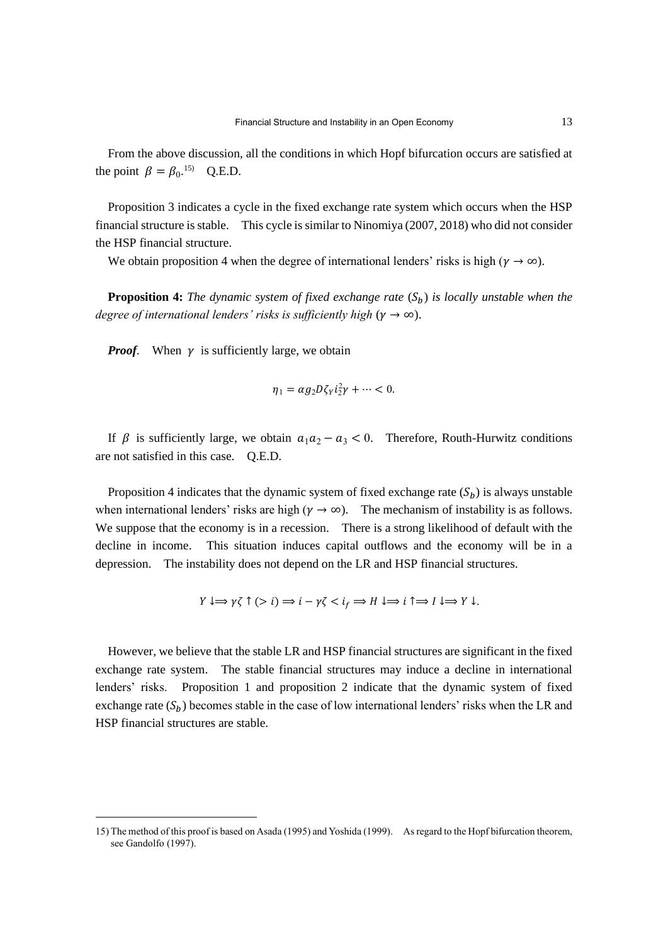From the above discussion, all the conditions in which Hopf bifurcation occurs are satisfied at the point  $\beta = \beta_0$ .<sup>15)</sup> Q.E.D.

Proposition 3 indicates a cycle in the fixed exchange rate system which occurs when the HSP financial structure is stable. This cycle is similar to Ninomiya (2007, 2018) who did not consider the HSP financial structure.

We obtain proposition 4 when the degree of international lenders' risks is high ( $\gamma \to \infty$ ).

**Proposition 4:** *The dynamic system of fixed exchange rate*  $(S_b)$  *is locally unstable when the degree of international lenders' risks is sufficiently high* ( $\gamma \rightarrow \infty$ ).

*Proof.* When  $\gamma$  is sufficiently large, we obtain

$$
\eta_1 = \alpha g_2 D \zeta_Y i_2^2 \gamma + \cdots < 0.
$$

If  $\beta$  is sufficiently large, we obtain  $a_1 a_2 - a_3 < 0$ . Therefore, Routh-Hurwitz conditions are not satisfied in this case. Q.E.D.

Proposition 4 indicates that the dynamic system of fixed exchange rate  $(S_h)$  is always unstable when international lenders' risks are high ( $\gamma \to \infty$ ). The mechanism of instability is as follows. We suppose that the economy is in a recession. There is a strong likelihood of default with the decline in income. This situation induces capital outflows and the economy will be in a depression. The instability does not depend on the LR and HSP financial structures.

$$
Y \downarrow \Longrightarrow \gamma \zeta \uparrow (\gt{i}) \Longrightarrow i - \gamma \zeta < i_f \Longrightarrow H \downarrow \Longrightarrow i \uparrow \Longrightarrow I \downarrow \Longrightarrow Y \downarrow.
$$

However, we believe that the stable LR and HSP financial structures are significant in the fixed exchange rate system. The stable financial structures may induce a decline in international lenders' risks. Proposition 1 and proposition 2 indicate that the dynamic system of fixed exchange rate  $(S_h)$  becomes stable in the case of low international lenders' risks when the LR and HSP financial structures are stable.

<sup>15)</sup> The method of this proof is based on Asada (1995) and Yoshida (1999). As regard to the Hopf bifurcation theorem, see Gandolfo (1997).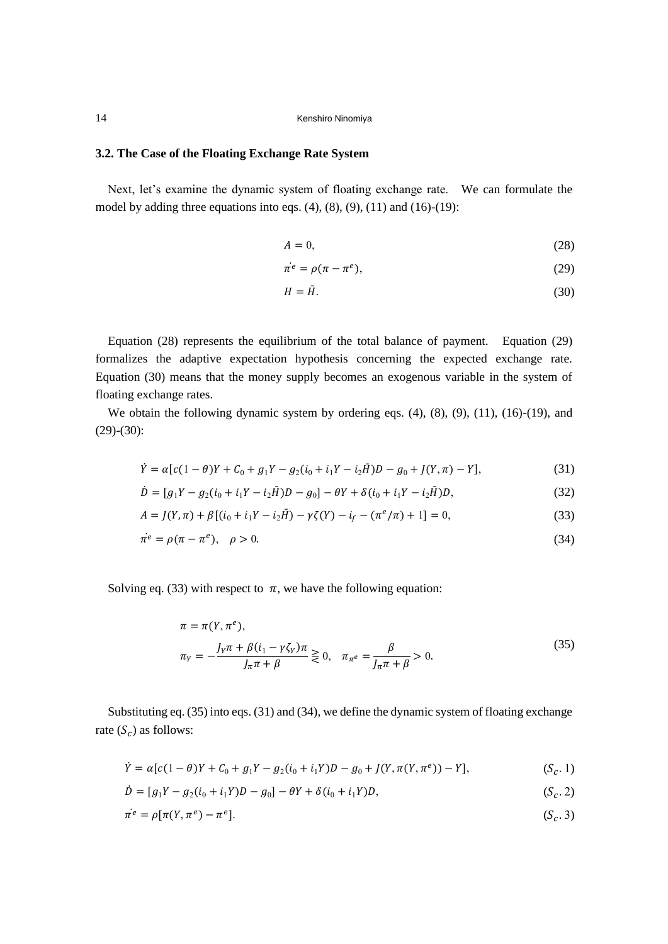### **3.2. The Case of the Floating Exchange Rate System**

Next, let's examine the dynamic system of floating exchange rate. We can formulate the model by adding three equations into eqs.  $(4)$ ,  $(8)$ ,  $(9)$ ,  $(11)$  and  $(16)-(19)$ :

$$
A = 0,\t(28)
$$

$$
\dot{\pi}^e = \rho(\pi - \pi^e),\tag{29}
$$

$$
H = \bar{H}.\tag{30}
$$

Equation (28) represents the equilibrium of the total balance of payment. Equation (29) formalizes the adaptive expectation hypothesis concerning the expected exchange rate. Equation (30) means that the money supply becomes an exogenous variable in the system of floating exchange rates.

We obtain the following dynamic system by ordering eqs.  $(4)$ ,  $(8)$ ,  $(9)$ ,  $(11)$ ,  $(16)-(19)$ , and  $(29)-(30)$ :

$$
\dot{Y} = \alpha [c(1 - \theta)Y + C_0 + g_1 Y - g_2 (i_0 + i_1 Y - i_2 \bar{H})D - g_0 + J(Y, \pi) - Y],
$$
\n(31)

$$
\dot{D} = [g_1 Y - g_2 (i_0 + i_1 Y - i_2 \bar{H}) D - g_0] - \theta Y + \delta (i_0 + i_1 Y - i_2 \bar{H}) D, \tag{32}
$$

$$
A = J(Y, \pi) + \beta [(i_0 + i_1 Y - i_2 \bar{H}) - \gamma \zeta(Y) - i_f - (\pi^e/\pi) + 1] = 0,
$$
\n(33)

$$
\dot{\pi}^e = \rho(\pi - \pi^e), \quad \rho > 0. \tag{34}
$$

Solving eq. (33) with respect to  $\pi$ , we have the following equation:

$$
\pi = \pi(Y, \pi^e), \n\pi_Y = -\frac{J_Y \pi + \beta (i_1 - \gamma \zeta_Y) \pi}{J_\pi \pi + \beta} \ge 0, \quad \pi_{\pi^e} = \frac{\beta}{J_\pi \pi + \beta} > 0.
$$
\n(35)

Substituting eq. (35) into eqs. (31) and (34), we define the dynamic system of floating exchange rate  $(S_c)$  as follows:

$$
\dot{Y} = \alpha[c(1-\theta)Y + C_0 + g_1Y - g_2(i_0 + i_1Y)D - g_0 + J(Y, \pi(Y, \pi^e)) - Y],
$$
\n(S<sub>c</sub>, 1)

$$
\dot{D} = [g_1 Y - g_2 (i_0 + i_1 Y) D - g_0] - \theta Y + \delta (i_0 + i_1 Y) D, \qquad (S_c. 2)
$$

$$
\dot{\pi}^e = \rho[\pi(Y, \pi^e) - \pi^e].\tag{S_c.3}
$$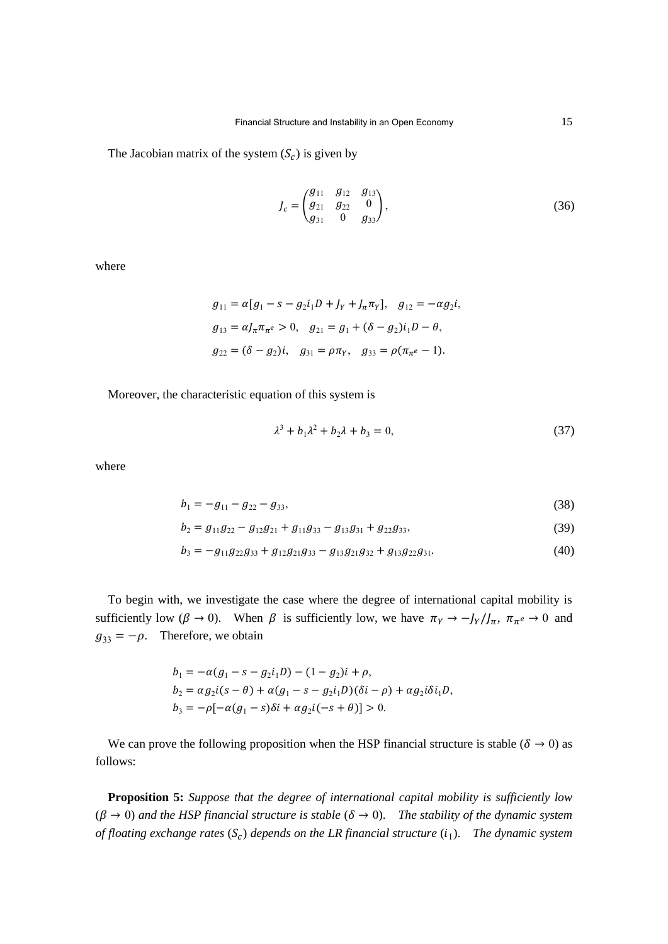The Jacobian matrix of the system  $(S_c)$  is given by

$$
J_c = \begin{pmatrix} g_{11} & g_{12} & g_{13} \\ g_{21} & g_{22} & 0 \\ g_{31} & 0 & g_{33} \end{pmatrix},
$$
 (36)

where

$$
g_{11} = \alpha [g_1 - s - g_2 i_1 D + J_Y + J_\pi \pi_Y], \quad g_{12} = -\alpha g_2 i,
$$
  
\n
$$
g_{13} = \alpha J_\pi \pi_\pi e > 0, \quad g_{21} = g_1 + (\delta - g_2) i_1 D - \theta,
$$
  
\n
$$
g_{22} = (\delta - g_2) i, \quad g_{31} = \rho \pi_Y, \quad g_{33} = \rho (\pi_\pi e - 1).
$$

Moreover, the characteristic equation of this system is

$$
\lambda^3 + b_1 \lambda^2 + b_2 \lambda + b_3 = 0,\tag{37}
$$

where

$$
b_1 = -g_{11} - g_{22} - g_{33},\tag{38}
$$

$$
b_2 = g_{11}g_{22} - g_{12}g_{21} + g_{11}g_{33} - g_{13}g_{31} + g_{22}g_{33},
$$
\n(39)

$$
b_3 = -g_{11}g_{22}g_{33} + g_{12}g_{21}g_{33} - g_{13}g_{21}g_{32} + g_{13}g_{22}g_{31}.
$$
 (40)

To begin with, we investigate the case where the degree of international capital mobility is sufficiently low ( $\beta \to 0$ ). When  $\beta$  is sufficiently low, we have  $\pi_Y \to -J_Y/J_\pi$ ,  $\pi_{\pi}e \to 0$  and  $g_{33} = -\rho$ . Therefore, we obtain

$$
b_1 = -\alpha(g_1 - s - g_2 i_1 D) - (1 - g_2)i + \rho,
$$
  
\n
$$
b_2 = \alpha g_2 i (s - \theta) + \alpha (g_1 - s - g_2 i_1 D)(\delta i - \rho) + \alpha g_2 i \delta i_1 D,
$$
  
\n
$$
b_3 = -\rho [-\alpha(g_1 - s)\delta i + \alpha g_2 i(-s + \theta)] > 0.
$$

We can prove the following proposition when the HSP financial structure is stable ( $\delta \rightarrow 0$ ) as follows:

**Proposition 5:** *Suppose that the degree of international capital mobility is sufficiently low*  $(\beta \to 0)$  and the HSP financial structure is stable  $(\delta \to 0)$ . The stability of the dynamic system *of floating exchange rates*  $(S_c)$  *depends on the LR financial structure*  $(i_1)$ . *The dynamic system*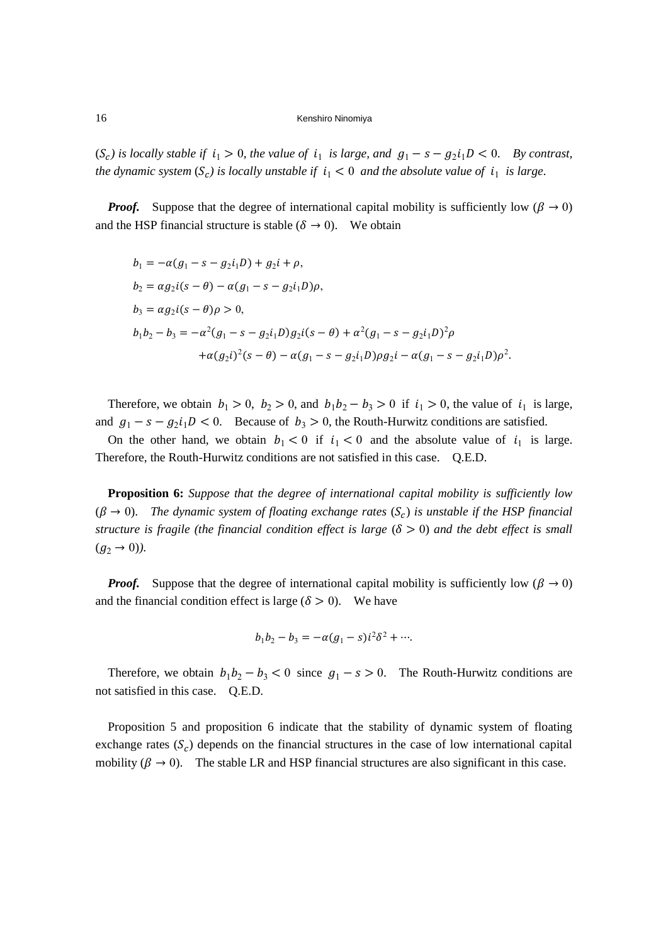$(S_c)$  is locally stable if  $i_1 > 0$ , the value of  $i_1$  is large, and  $g_1 - s - g_2 i_1 D < 0$ . By contrast, *the dynamic system*  $(S_c)$  *is locally unstable if*  $i_1 < 0$  *and the absolute value of*  $i_1$  *is large.* 

*Proof.* Suppose that the degree of international capital mobility is sufficiently low ( $\beta \rightarrow 0$ ) and the HSP financial structure is stable ( $\delta \rightarrow 0$ ). We obtain

$$
b_1 = -\alpha(g_1 - s - g_2 i_1 D) + g_2 i + \rho,
$$
  
\n
$$
b_2 = \alpha g_2 i (s - \theta) - \alpha (g_1 - s - g_2 i_1 D)\rho,
$$
  
\n
$$
b_3 = \alpha g_2 i (s - \theta)\rho > 0,
$$
  
\n
$$
b_1 b_2 - b_3 = -\alpha^2 (g_1 - s - g_2 i_1 D) g_2 i (s - \theta) + \alpha^2 (g_1 - s - g_2 i_1 D)^2 \rho
$$
  
\n
$$
+ \alpha (g_2 i)^2 (s - \theta) - \alpha (g_1 - s - g_2 i_1 D) \rho g_2 i - \alpha (g_1 - s - g_2 i_1 D) \rho^2.
$$

Therefore, we obtain  $b_1 > 0$ ,  $b_2 > 0$ , and  $b_1b_2 - b_3 > 0$  if  $i_1 > 0$ , the value of  $i_1$  is large, and  $g_1 - s - g_2 i_1 D < 0$ . Because of  $b_3 > 0$ , the Routh-Hurwitz conditions are satisfied.

On the other hand, we obtain  $b_1 < 0$  if  $i_1 < 0$  and the absolute value of  $i_1$  is large. Therefore, the Routh-Hurwitz conditions are not satisfied in this case. Q.E.D.

**Proposition 6:** *Suppose that the degree of international capital mobility is sufficiently low*  $(\beta \rightarrow 0)$ . The dynamic system of floating exchange rates  $(S_c)$  is unstable if the HSP financial *structure is fragile (the financial condition effect is large*  $(\delta > 0)$  *and the debt effect is small*  $(g_2 \to 0)$ ).

*Proof.* Suppose that the degree of international capital mobility is sufficiently low ( $\beta \rightarrow 0$ ) and the financial condition effect is large ( $\delta > 0$ ). We have

$$
b_1b_2 - b_3 = -\alpha(g_1 - s)i^2\delta^2 + \cdots
$$

Therefore, we obtain  $b_1 b_2 - b_3 < 0$  since  $g_1 - s > 0$ . The Routh-Hurwitz conditions are not satisfied in this case. Q.E.D.

Proposition 5 and proposition 6 indicate that the stability of dynamic system of floating exchange rates  $(S_c)$  depends on the financial structures in the case of low international capital mobility ( $\beta \rightarrow 0$ ). The stable LR and HSP financial structures are also significant in this case.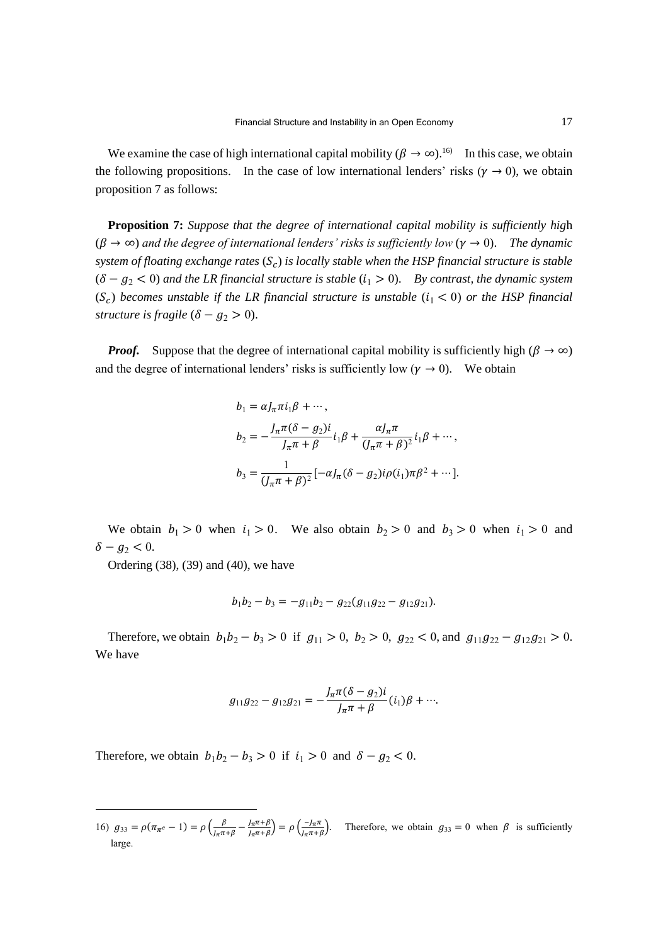We examine the case of high international capital mobility ( $\beta \to \infty$ ).<sup>16</sup> In this case, we obtain the following propositions. In the case of low international lenders' risks ( $\gamma \to 0$ ), we obtain proposition 7 as follows:

**Proposition 7:** *Suppose that the degree of international capital mobility is sufficiently hig*h  $(\beta \to \infty)$  and the degree of international lenders' risks is sufficiently low  $(\gamma \to 0)$ . The dynamic system of floating exchange rates (S<sub>c</sub>) is locally stable when the HSP financial structure is stable  $( \delta - g_2 < 0 )$  *and the LR financial structure is stable*  $(i_1 > 0)$ . *By contrast, the dynamic system*  $(S_c)$  becomes unstable if the LR financial structure is unstable  $(i_1 < 0)$  or the HSP financial *structure is fragile*  $(\delta - g_2 > 0)$ .

*Proof.* Suppose that the degree of international capital mobility is sufficiently high ( $\beta \rightarrow \infty$ ) and the degree of international lenders' risks is sufficiently low ( $\gamma \to 0$ ). We obtain

$$
b_1 = \alpha J_\pi \pi i_1 \beta + \cdots,
$$
  
\n
$$
b_2 = -\frac{J_\pi \pi (\delta - g_2) i}{J_\pi \pi + \beta} i_1 \beta + \frac{\alpha J_\pi \pi}{(J_\pi \pi + \beta)^2} i_1 \beta + \cdots,
$$
  
\n
$$
b_3 = \frac{1}{(J_\pi \pi + \beta)^2} [-\alpha J_\pi (\delta - g_2) i \rho(i_1) \pi \beta^2 + \cdots].
$$

We obtain  $b_1 > 0$  when  $i_1 > 0$ . We also obtain  $b_2 > 0$  and  $b_3 > 0$  when  $i_1 > 0$  and  $\delta - g_2 < 0$ .

Ordering (38), (39) and (40), we have

$$
b_1b_2-b_3=-g_{11}b_2-g_{22}(g_{11}g_{22}-g_{12}g_{21}).
$$

Therefore, we obtain  $b_1 b_2 - b_3 > 0$  if  $g_{11} > 0$ ,  $b_2 > 0$ ,  $g_{22} < 0$ , and  $g_{11} g_{22} - g_{12} g_{21} > 0$ . We have

$$
g_{11}g_{22}-g_{12}g_{21}=-\frac{J_{\pi}\pi(\delta-g_2)i}{J_{\pi}\pi+\beta}(i_1)\beta+\cdots
$$

Therefore, we obtain  $b_1b_2 - b_3 > 0$  if  $i_1 > 0$  and  $\delta - g_2 < 0$ .

<sup>16)</sup>  $g_{33} = \rho(\pi_{\pi^e} - 1) = \rho\left(\frac{\beta}{1 \pi}\right)$  $\frac{\beta}{J_{\pi}\pi+\beta} - \frac{J_{\pi}\pi+\beta}{J_{\pi}\pi+\beta}$  $\left(\frac{J_{\pi}\pi+\beta}{J_{\pi}\pi+\beta}\right) = \rho \left(\frac{-J_{\pi}\pi}{J_{\pi}\pi+\beta}\right)$  $\frac{-j_{\pi}n}{j_{\pi}\pi+\beta}$ . Therefore, we obtain  $g_{33} = 0$  when  $\beta$  is sufficiently large.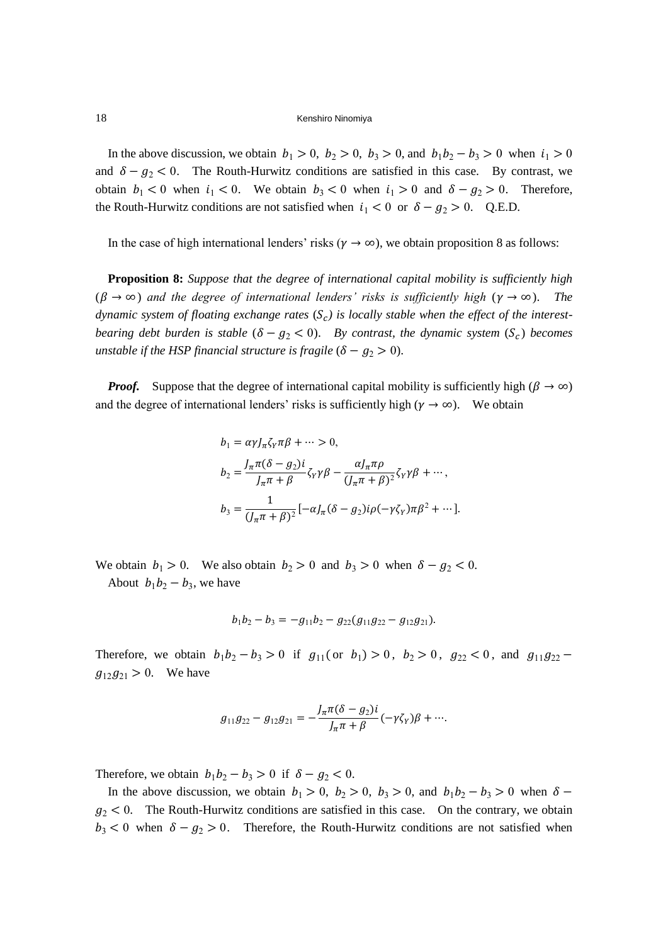In the above discussion, we obtain  $b_1 > 0$ ,  $b_2 > 0$ ,  $b_3 > 0$ , and  $b_1b_2 - b_3 > 0$  when  $i_1 > 0$ and  $\delta - g_2 < 0$ . The Routh-Hurwitz conditions are satisfied in this case. By contrast, we obtain  $b_1 < 0$  when  $i_1 < 0$ . We obtain  $b_3 < 0$  when  $i_1 > 0$  and  $\delta - g_2 > 0$ . Therefore, the Routh-Hurwitz conditions are not satisfied when  $i_1 < 0$  or  $\delta - g_2 > 0$ . Q.E.D.

In the case of high international lenders' risks ( $\gamma \to \infty$ ), we obtain proposition 8 as follows:

**Proposition 8:** *Suppose that the degree of international capital mobility is sufficiently high*  $(\beta \to \infty)$  *and the degree of international lenders' risks is sufficiently high*  $(\gamma \to \infty)$ . *The* dynamic system of floating exchange rates  $(S_c)$  is locally stable when the effect of the interest*bearing debt burden is stable*  $(\delta - g_2 < 0)$ . *By contrast, the dynamic system*  $(S_c)$  *becomes unstable if the HSP financial structure is fragile*  $(\delta - g_2 > 0)$ .

*Proof.* Suppose that the degree of international capital mobility is sufficiently high ( $\beta \rightarrow \infty$ ) and the degree of international lenders' risks is sufficiently high ( $\gamma \to \infty$ ). We obtain

$$
b_1 = \alpha \gamma J_\pi \zeta_\gamma \pi \beta + \dots > 0,
$$
  
\n
$$
b_2 = \frac{J_\pi \pi (\delta - g_2) i}{J_\pi \pi + \beta} \zeta_\gamma \gamma \beta - \frac{\alpha J_\pi \pi \rho}{(J_\pi \pi + \beta)^2} \zeta_\gamma \gamma \beta + \dots,
$$
  
\n
$$
b_3 = \frac{1}{(J_\pi \pi + \beta)^2} [-\alpha J_\pi (\delta - g_2) i \rho (-\gamma \zeta_\gamma) \pi \beta^2 + \dots].
$$

We obtain  $b_1 > 0$ . We also obtain  $b_2 > 0$  and  $b_3 > 0$  when  $\delta - g_2 < 0$ . About  $b_1b_2 - b_3$ , we have

$$
b_1b_2-b_3=-g_{11}b_2-g_{22}(g_{11}g_{22}-g_{12}g_{21}).
$$

Therefore, we obtain  $b_1 b_2 - b_3 > 0$  if  $g_{11}$  (or  $b_1$ ) > 0,  $b_2 > 0$ ,  $g_{22} < 0$ , and  $g_{11} g_{22}$  –  $g_{12}g_{21} > 0$ . We have

$$
g_{11}g_{22}-g_{12}g_{21}=-\frac{J_{\pi}\pi(\delta-g_2)i}{J_{\pi}\pi+\beta}(-\gamma\zeta_{Y})\beta+\cdots.
$$

Therefore, we obtain  $b_1b_2 - b_3 > 0$  if  $\delta - g_2 < 0$ .

In the above discussion, we obtain  $b_1 > 0$ ,  $b_2 > 0$ ,  $b_3 > 0$ , and  $b_1b_2 - b_3 > 0$  when  $\delta$  $g_2$  < 0. The Routh-Hurwitz conditions are satisfied in this case. On the contrary, we obtain  $b_3 < 0$  when  $\delta - g_2 > 0$ . Therefore, the Routh-Hurwitz conditions are not satisfied when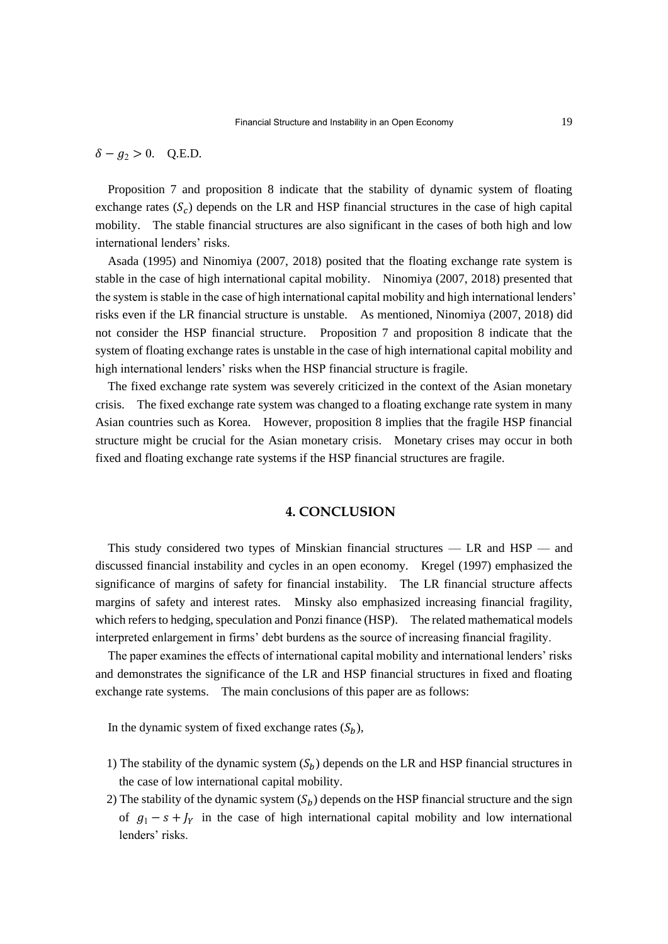$\delta - q_2 > 0$ . Q.E.D.

Proposition 7 and proposition 8 indicate that the stability of dynamic system of floating exchange rates  $(S_c)$  depends on the LR and HSP financial structures in the case of high capital mobility. The stable financial structures are also significant in the cases of both high and low international lenders' risks.

Asada (1995) and Ninomiya (2007, 2018) posited that the floating exchange rate system is stable in the case of high international capital mobility. Ninomiya (2007, 2018) presented that the system is stable in the case of high international capital mobility and high international lenders' risks even if the LR financial structure is unstable. As mentioned, Ninomiya (2007, 2018) did not consider the HSP financial structure. Proposition 7 and proposition 8 indicate that the system of floating exchange rates is unstable in the case of high international capital mobility and high international lenders' risks when the HSP financial structure is fragile.

The fixed exchange rate system was severely criticized in the context of the Asian monetary crisis. The fixed exchange rate system was changed to a floating exchange rate system in many Asian countries such as Korea. However, proposition 8 implies that the fragile HSP financial structure might be crucial for the Asian monetary crisis. Monetary crises may occur in both fixed and floating exchange rate systems if the HSP financial structures are fragile.

# **4. CONCLUSION**

This study considered two types of Minskian financial structures — LR and HSP — and discussed financial instability and cycles in an open economy. Kregel (1997) emphasized the significance of margins of safety for financial instability. The LR financial structure affects margins of safety and interest rates. Minsky also emphasized increasing financial fragility, which refers to hedging, speculation and Ponzi finance (HSP). The related mathematical models interpreted enlargement in firms' debt burdens as the source of increasing financial fragility.

The paper examines the effects of international capital mobility and international lenders' risks and demonstrates the significance of the LR and HSP financial structures in fixed and floating exchange rate systems. The main conclusions of this paper are as follows:

In the dynamic system of fixed exchange rates  $(S_h)$ ,

- 1) The stability of the dynamic system  $(S_b)$  depends on the LR and HSP financial structures in the case of low international capital mobility.
- 2) The stability of the dynamic system  $(S_b)$  depends on the HSP financial structure and the sign of  $g_1 - s + J_y$  in the case of high international capital mobility and low international lenders' risks.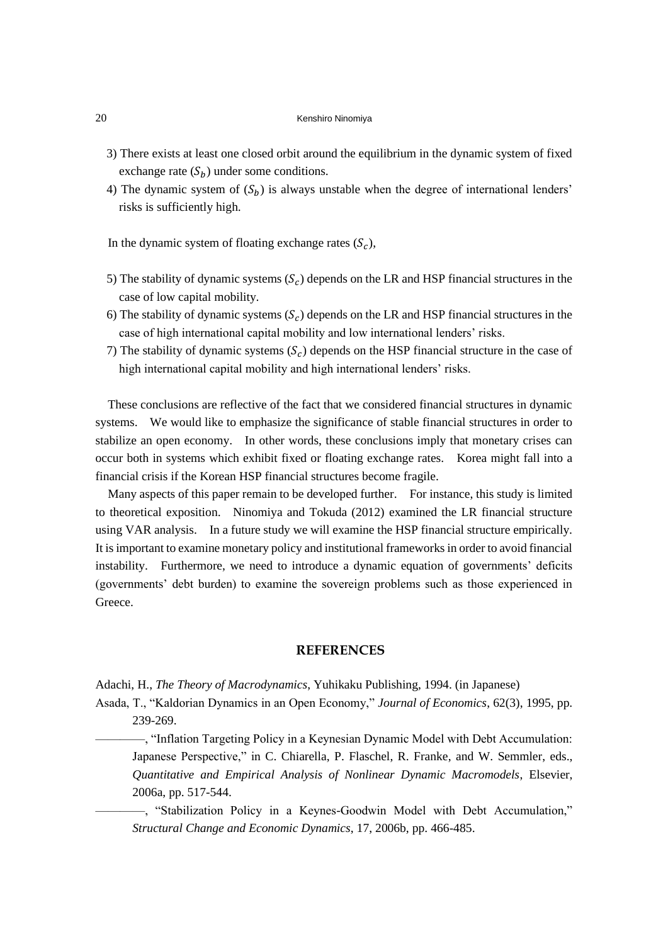- 3) There exists at least one closed orbit around the equilibrium in the dynamic system of fixed exchange rate  $(S_h)$  under some conditions.
- 4) The dynamic system of  $(S_h)$  is always unstable when the degree of international lenders' risks is sufficiently high.

In the dynamic system of floating exchange rates  $(S_c)$ ,

- 5) The stability of dynamic systems  $(S_c)$  depends on the LR and HSP financial structures in the case of low capital mobility.
- 6) The stability of dynamic systems  $(S_c)$  depends on the LR and HSP financial structures in the case of high international capital mobility and low international lenders' risks.
- 7) The stability of dynamic systems  $(S_c)$  depends on the HSP financial structure in the case of high international capital mobility and high international lenders' risks.

These conclusions are reflective of the fact that we considered financial structures in dynamic systems. We would like to emphasize the significance of stable financial structures in order to stabilize an open economy. In other words, these conclusions imply that monetary crises can occur both in systems which exhibit fixed or floating exchange rates. Korea might fall into a financial crisis if the Korean HSP financial structures become fragile.

Many aspects of this paper remain to be developed further. For instance, this study is limited to theoretical exposition. Ninomiya and Tokuda (2012) examined the LR financial structure using VAR analysis. In a future study we will examine the HSP financial structure empirically. It is important to examine monetary policy and institutional frameworks in order to avoid financial instability. Furthermore, we need to introduce a dynamic equation of governments' deficits (governments' debt burden) to examine the sovereign problems such as those experienced in Greece.

# **REFERENCES**

Adachi, H., *The Theory of Macrodynamics*, Yuhikaku Publishing, 1994. (in Japanese)

Asada, T., "Kaldorian Dynamics in an Open Economy," *Journal of Economics*, 62(3), 1995, pp. 239-269.

————, "Inflation Targeting Policy in a Keynesian Dynamic Model with Debt Accumulation: Japanese Perspective," in C. Chiarella, P. Flaschel, R. Franke, and W. Semmler, eds., *Quantitative and Empirical Analysis of Nonlinear Dynamic Macromodels*, Elsevier, 2006a, pp. 517-544.

————, "Stabilization Policy in a Keynes-Goodwin Model with Debt Accumulation," *Structural Change and Economic Dynamics*, 17, 2006b, pp. 466-485.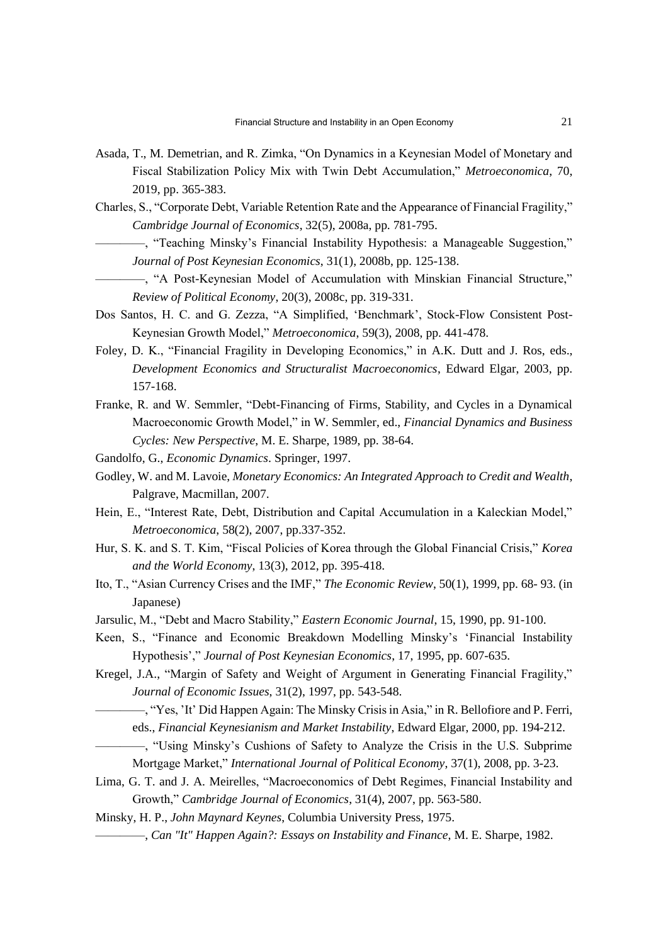- Asada, T., M. Demetrian, and R. Zimka, "On Dynamics in a Keynesian Model of Monetary and Fiscal Stabilization Policy Mix with Twin Debt Accumulation," *Metroeconomica*, 70, 2019, pp. 365-383.
- Charles, S., "Corporate Debt, Variable Retention Rate and the Appearance of Financial Fragility," *Cambridge Journal of Economics*, 32(5), 2008a, pp. 781-795.
	- ————, "Teaching Minsky's Financial Instability Hypothesis: a Manageable Suggestion," *Journal of Post Keynesian Economics*, 31(1), 2008b, pp. 125-138.
	- ————, "A Post-Keynesian Model of Accumulation with Minskian Financial Structure," *Review of Political Economy*, 20(3), 2008c, pp. 319-331.
- Dos Santos, H. C. and G. Zezza, "A Simplified, 'Benchmark', Stock-Flow Consistent Post-Keynesian Growth Model," *Metroeconomica*, 59(3), 2008, pp. 441-478.
- Foley, D. K., "Financial Fragility in Developing Economics," in A.K. Dutt and J. Ros, eds., *Development Economics and Structuralist Macroeconomics*, Edward Elgar, 2003, pp. 157-168.
- Franke, R. and W. Semmler, "Debt-Financing of Firms, Stability, and Cycles in a Dynamical Macroeconomic Growth Model," in W. Semmler, ed., *Financial Dynamics and Business Cycles: New Perspective*, M. E. Sharpe, 1989, pp. 38-64.
- Gandolfo, G., *Economic Dynamics*. Springer, 1997.
- Godley, W. and M. Lavoie, *Monetary Economics: An Integrated Approach to Credit and Wealth*, Palgrave, Macmillan, 2007.
- Hein, E., "Interest Rate, Debt, Distribution and Capital Accumulation in a Kaleckian Model," *Metroeconomica*, 58(2), 2007, pp.337-352.
- Hur, S. K. and S. T. Kim, "Fiscal Policies of Korea through the Global Financial Crisis," *Korea and the World Economy*, 13(3), 2012, pp. 395-418.
- Ito, T., "Asian Currency Crises and the IMF," *The Economic Review*, 50(1), 1999, pp. 68- 93. (in Japanese)
- Jarsulic, M., "Debt and Macro Stability," *Eastern Economic Journal*, 15, 1990, pp. 91-100.
- Keen, S., "Finance and Economic Breakdown Modelling Minsky's 'Financial Instability Hypothesis'," *Journal of Post Keynesian Economics*, 17, 1995, pp. 607-635.
- Kregel, J.A., "Margin of Safety and Weight of Argument in Generating Financial Fragility," *Journal of Economic Issues*, 31(2), 1997, pp. 543-548.
	- ————, "Yes, 'It' Did Happen Again: The Minsky Crisis in Asia," in R. Bellofiore and P. Ferri, eds., *Financial Keynesianism and Market Instability*, Edward Elgar, 2000, pp. 194-212.
	- ————, "Using Minsky's Cushions of Safety to Analyze the Crisis in the U.S. Subprime Mortgage Market," *International Journal of Political Economy*, 37(1), 2008, pp. 3-23.
- Lima, G. T. and J. A. Meirelles, "Macroeconomics of Debt Regimes, Financial Instability and Growth," *Cambridge Journal of Economics*, 31(4), 2007, pp. 563-580.
- Minsky, H. P., *John Maynard Keynes*, Columbia University Press, 1975.
	- ————, *Can "It" Happen Again?: Essays on Instability and Finance*, M. E. Sharpe, 1982.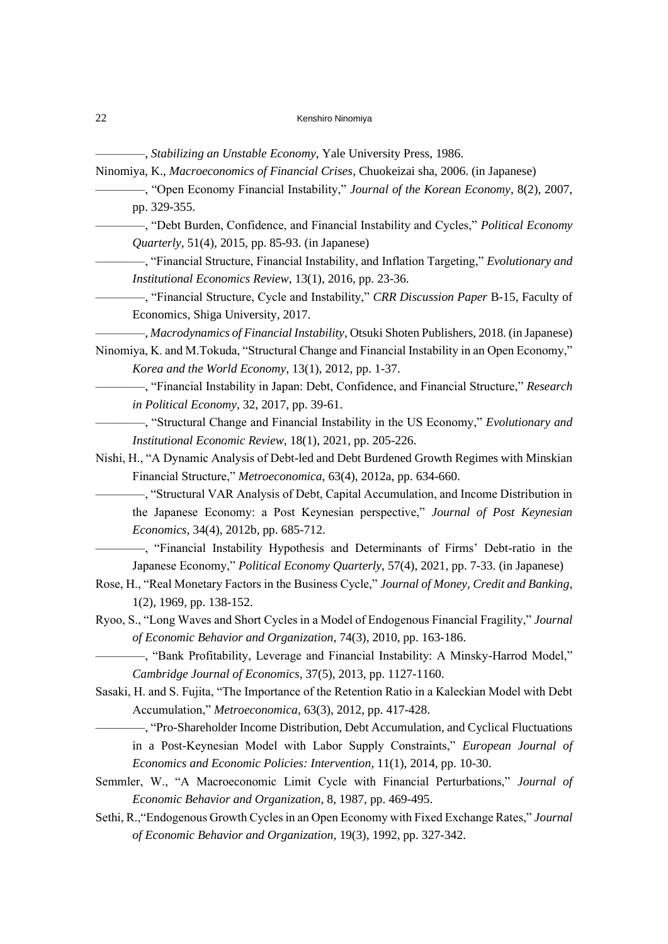————, *Stabilizing an Unstable Economy*, Yale University Press, 1986.

- Ninomiya, K., *Macroeconomics of Financial Crises*, Chuokeizai sha, 2006. (in Japanese)
	- ————, "Open Economy Financial Instability," *Journal of the Korean Economy*, 8(2), 2007, pp. 329-355.
	- ————, "Debt Burden, Confidence, and Financial Instability and Cycles," *Political Economy Quarterly*, 51(4), 2015, pp. 85-93. (in Japanese)
	- ————, "Financial Structure, Financial Instability, and Inflation Targeting," *Evolutionary and Institutional Economics Review*, 13(1), 2016, pp. 23-36.
	- ————, "Financial Structure, Cycle and Instability," *CRR Discussion Paper* B-15, Faculty of Economics, Shiga University, 2017.
- ————, *Macrodynamics of Financial Instability*, Otsuki Shoten Publishers, 2018. (in Japanese)
- Ninomiya, K. and M.Tokuda, "Structural Change and Financial Instability in an Open Economy," *Korea and the World Economy*, 13(1), 2012, pp. 1-37.
	- ————, "Financial Instability in Japan: Debt, Confidence, and Financial Structure," *Research in Political Economy*, 32, 2017, pp. 39-61.
	- ————, "Structural Change and Financial Instability in the US Economy," *Evolutionary and Institutional Economic Review*, 18(1), 2021, pp. 205-226.
- Nishi, H., "A Dynamic Analysis of Debt-led and Debt Burdened Growth Regimes with Minskian Financial Structure," *Metroeconomica*, 63(4), 2012a, pp. 634-660.
	- ————, "Structural VAR Analysis of Debt, Capital Accumulation, and Income Distribution in the Japanese Economy: a Post Keynesian perspective," *Journal of Post Keynesian Economics,* 34(4), 2012b, pp. 685-712.
	- ————, "Financial Instability Hypothesis and Determinants of Firms' Debt-ratio in the Japanese Economy," *Political Economy Quarterly*, 57(4), 2021, pp. 7-33. (in Japanese)
- Rose, H., "Real Monetary Factors in the Business Cycle," *Journal of Money, Credit and Banking*, 1(2), 1969, pp. 138-152.
- Ryoo, S., "Long Waves and Short Cycles in a Model of Endogenous Financial Fragility," *Journal of Economic Behavior and Organization*, 74(3), 2010, pp. 163-186.
	- ————, "Bank Profitability, Leverage and Financial Instability: A Minsky-Harrod Model," *Cambridge Journal of Economics*, 37(5), 2013, pp. 1127-1160.
- Sasaki, H. and S. Fujita, "The Importance of the Retention Ratio in a Kaleckian Model with Debt Accumulation," *Metroeconomica*, 63(3), 2012, pp. 417-428.
	- ————, "Pro-Shareholder Income Distribution, Debt Accumulation, and Cyclical Fluctuations in a Post-Keynesian Model with Labor Supply Constraints," *European Journal of Economics and Economic Policies: Intervention*, 11(1), 2014, pp. 10-30.
- Semmler, W., "A Macroeconomic Limit Cycle with Financial Perturbations," *Journal of Economic Behavior and Organization*, 8, 1987, pp. 469-495.
- Sethi, R.,"Endogenous Growth Cycles in an Open Economy with Fixed Exchange Rates," *Journal of Economic Behavior and Organization*, 19(3), 1992, pp. 327-342.